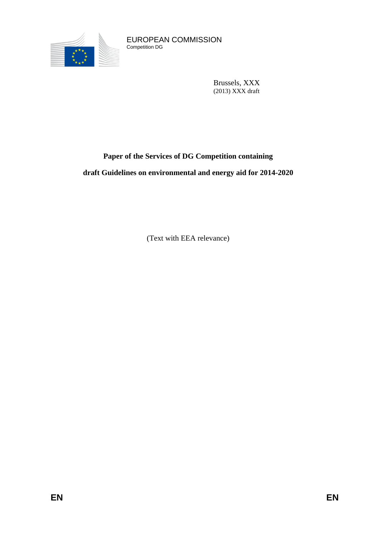

EUROPEAN COMMISSION Competition DG

> Brussels, XXX (2013) XXX draft

# **Paper of the Services of DG Competition containing**

**draft Guidelines on environmental and energy aid for 2014-2020**

(Text with EEA relevance)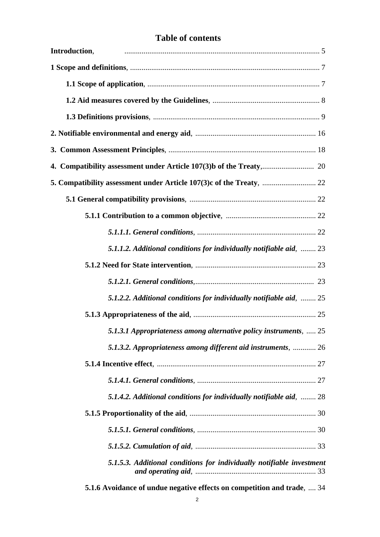# **Table of contents**

| Introduction,                                                           |
|-------------------------------------------------------------------------|
|                                                                         |
|                                                                         |
|                                                                         |
|                                                                         |
|                                                                         |
|                                                                         |
|                                                                         |
|                                                                         |
|                                                                         |
|                                                                         |
|                                                                         |
| 5.1.1.2. Additional conditions for individually notifiable aid,  23     |
|                                                                         |
|                                                                         |
| 5.1.2.2. Additional conditions for individually notifiable aid,  25     |
|                                                                         |
| 5.1.3.1 Appropriateness among alternative policy instruments,  25       |
| 5.1.3.2. Appropriateness among different aid instruments,  26           |
|                                                                         |
|                                                                         |
| 5.1.4.2. Additional conditions for individually notifiable aid,  28     |
|                                                                         |
|                                                                         |
|                                                                         |
| 5.1.5.3. Additional conditions for individually notifiable investment   |
| 5.1.6 Avoidance of undue negative effects on competition and trade,  34 |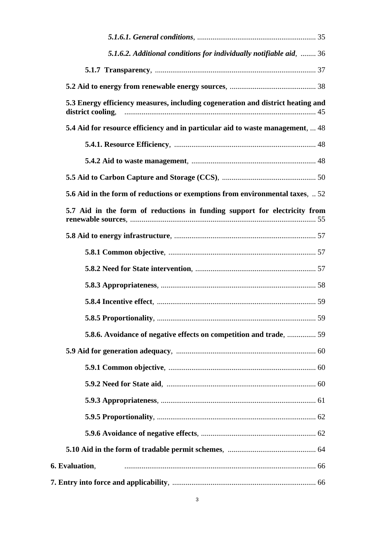| 5.1.6.2. Additional conditions for individually notifiable aid,  36                                  |  |
|------------------------------------------------------------------------------------------------------|--|
|                                                                                                      |  |
|                                                                                                      |  |
| 5.3 Energy efficiency measures, including cogeneration and district heating and<br>district cooling, |  |
| 5.4 Aid for resource efficiency and in particular aid to waste management,  48                       |  |
|                                                                                                      |  |
|                                                                                                      |  |
|                                                                                                      |  |
| 5.6 Aid in the form of reductions or exemptions from environmental taxes,  52                        |  |
| 5.7 Aid in the form of reductions in funding support for electricity from                            |  |
|                                                                                                      |  |
|                                                                                                      |  |
|                                                                                                      |  |
|                                                                                                      |  |
|                                                                                                      |  |
|                                                                                                      |  |
| 5.8.6. Avoidance of negative effects on competition and trade,  59                                   |  |
|                                                                                                      |  |
|                                                                                                      |  |
|                                                                                                      |  |
|                                                                                                      |  |
|                                                                                                      |  |
|                                                                                                      |  |
|                                                                                                      |  |
| 6. Evaluation,                                                                                       |  |
|                                                                                                      |  |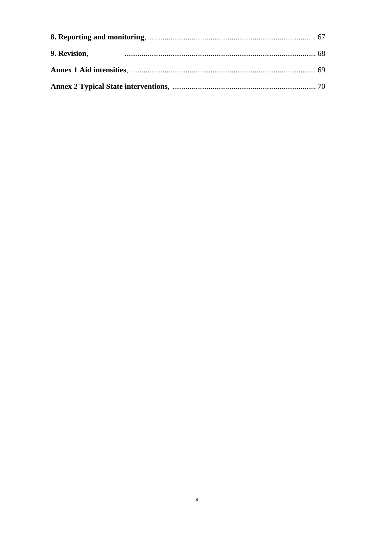| 9. Revision, |  |
|--------------|--|
|              |  |
|              |  |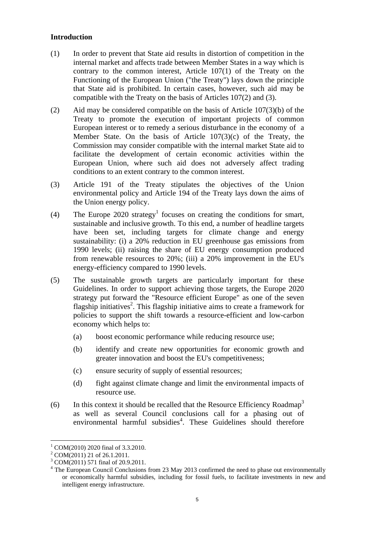### **Introduction**

- (1) In order to prevent that State aid results in distortion of competition in the internal market and affects trade between Member States in a way which is contrary to the common interest, Article 107(1) of the Treaty on the Functioning of the European Union ("the Treaty") lays down the principle that State aid is prohibited. In certain cases, however, such aid may be compatible with the Treaty on the basis of Articles 107(2) and (3).
- (2) Aid may be considered compatible on the basis of Article 107(3)(b) of the Treaty to promote the execution of important projects of common European interest or to remedy a serious disturbance in the economy of a Member State. On the basis of Article 107(3)(c) of the Treaty, the Commission may consider compatible with the internal market State aid to facilitate the development of certain economic activities within the European Union, where such aid does not adversely affect trading conditions to an extent contrary to the common interest.
- (3) Article 191 of the Treaty stipulates the objectives of the Union environmental policy and Article 194 of the Treaty lays down the aims of the Union energy policy.
- (4) The Europe 2020 strategy<sup>1</sup> focuses on creating the conditions for smart, sustainable and inclusive growth. To this end, a number of headline targets have been set, including targets for climate change and energy sustainability: (i) a 20% reduction in EU greenhouse gas emissions from 1990 levels; (ii) raising the share of EU energy consumption produced from renewable resources to 20%; (iii) a 20% improvement in the EU's energy-efficiency compared to 1990 levels.
- (5) The sustainable growth targets are particularly important for these Guidelines. In order to support achieving those targets, the Europe 2020 strategy put forward the "Resource efficient Europe" as one of the seven flagship initiatives 2 . This flagship initiative aims to create a framework for policies to support the shift towards a resource-efficient and low-carbon economy which helps to:
	- (a) boost economic performance while reducing resource use;
	- (b) identify and create new opportunities for economic growth and greater innovation and boost the EU's competitiveness;
	- (c) ensure security of supply of essential resources;
	- (d) fight against climate change and limit the environmental impacts of resource use.
- (6) In this context it should be recalled that the Resource Efficiency Roadmap<sup>3</sup> as well as several Council conclusions call for a phasing out of environmental harmful subsidies<sup>4</sup>. These Guidelines should therefore

 $\overline{a}$  $1$  COM(2010) 2020 final of 3.3.2010.

 $^{2}$  COM(2011) 21 of 26.1.2011.

<sup>&</sup>lt;sup>3</sup> COM(2011) 571 final of 20.9.2011.

<sup>&</sup>lt;sup>4</sup> The European Council Conclusions from 23 May 2013 confirmed the need to phase out environmentally or economically harmful subsidies, including for fossil fuels, to facilitate investments in new and intelligent energy infrastructure.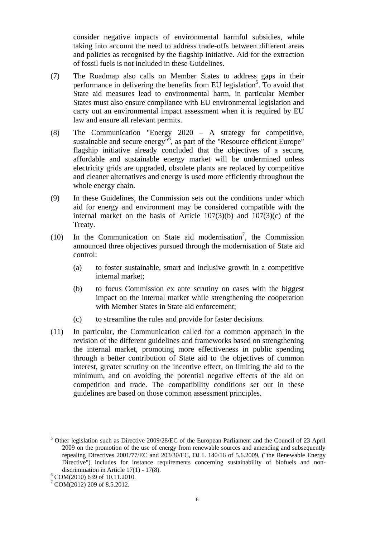consider negative impacts of environmental harmful subsidies, while taking into account the need to address trade-offs between different areas and policies as recognised by the flagship initiative. Aid for the extraction of fossil fuels is not included in these Guidelines.

- (7) The Roadmap also calls on Member States to address gaps in their performance in delivering the benefits from EU legislation<sup>5</sup>. To avoid that State aid measures lead to environmental harm, in particular Member States must also ensure compliance with EU environmental legislation and carry out an environmental impact assessment when it is required by EU law and ensure all relevant permits.
- (8) The Communication "Energy 2020 A strategy for competitive, sustainable and secure energy<sup>"6</sup>, as part of the "Resource efficient Europe" flagship initiative already concluded that the objectives of a secure, affordable and sustainable energy market will be undermined unless electricity grids are upgraded, obsolete plants are replaced by competitive and cleaner alternatives and energy is used more efficiently throughout the whole energy chain.
- (9) In these Guidelines, the Commission sets out the conditions under which aid for energy and environment may be considered compatible with the internal market on the basis of Article 107(3)(b) and 107(3)(c) of the Treaty.
- (10) In the Communication on State aid modernisation<sup>7</sup>, the Commission announced three objectives pursued through the modernisation of State aid control:
	- (a) to foster sustainable, smart and inclusive growth in a competitive internal market;
	- (b) to focus Commission ex ante scrutiny on cases with the biggest impact on the internal market while strengthening the cooperation with Member States in State aid enforcement;
	- (c) to streamline the rules and provide for faster decisions.
- (11) In particular, the Communication called for a common approach in the revision of the different guidelines and frameworks based on strengthening the internal market, promoting more effectiveness in public spending through a better contribution of State aid to the objectives of common interest, greater scrutiny on the incentive effect, on limiting the aid to the minimum, and on avoiding the potential negative effects of the aid on competition and trade. The compatibility conditions set out in these guidelines are based on those common assessment principles.

<sup>5</sup> Other legislation such as Directive 2009/28/EC of the European Parliament and the Council of 23 April 2009 on the promotion of the use of energy from renewable sources and amending and subsequently repealing Directives 2001/77/EC and 203/30/EC, OJ L 140/16 of 5.6.2009, ("the Renewable Energy Directive") includes for instance requirements concerning sustainability of biofuels and nondiscrimination in Article 17(1) - 17(8).

<sup>6</sup> COM(2010) 639 of 10.11.2010.

 $7$  COM(2012) 209 of 8.5.2012.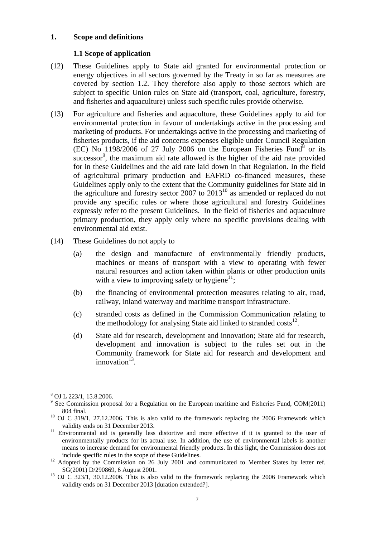### **1. Scope and definitions**

#### **1.1 Scope of application**

- (12) These Guidelines apply to State aid granted for environmental protection or energy objectives in all sectors governed by the Treaty in so far as measures are covered by section 1.2. They therefore also apply to those sectors which are subject to specific Union rules on State aid (transport, coal, agriculture, forestry, and fisheries and aquaculture) unless such specific rules provide otherwise.
- (13) For agriculture and fisheries and aquaculture, these Guidelines apply to aid for environmental protection in favour of undertakings active in the processing and marketing of products. For undertakings active in the processing and marketing of fisheries products, if the aid concerns expenses eligible under Council Regulation  $(EC)$  No 1198/2006 of 27 July 2006 on the European Fisheries Fund<sup>8</sup> or its  $successor<sup>9</sup>$ , the maximum aid rate allowed is the higher of the aid rate provided for in these Guidelines and the aid rate laid down in that Regulation. In the field of agricultural primary production and EAFRD co-financed measures, these Guidelines apply only to the extent that the Community guidelines for State aid in the agriculture and forestry sector 2007 to  $2013^{10}$  as amended or replaced do not provide any specific rules or where those agricultural and forestry Guidelines expressly refer to the present Guidelines. In the field of fisheries and aquaculture primary production, they apply only where no specific provisions dealing with environmental aid exist.
- (14) These Guidelines do not apply to
	- (a) the design and manufacture of environmentally friendly products, machines or means of transport with a view to operating with fewer natural resources and action taken within plants or other production units with a view to improving safety or hygiene $^{11}$ ;
	- (b) the financing of environmental protection measures relating to air, road, railway, inland waterway and maritime transport infrastructure.
	- (c) stranded costs as defined in the Commission Communication relating to the methodology for analysing State aid linked to stranded  $costs^{12}$ .
	- (d) State aid for research, development and innovation; State aid for research, development and innovation is subject to the rules set out in the Community framework for State aid for research and development and innovation<sup>13</sup>.

 $\overline{a}$ <sup>8</sup> OJ L 223/1, 15.8.2006.

<sup>&</sup>lt;sup>9</sup> See Commission proposal for a Regulation on the European maritime and Fisheries Fund, COM(2011) 804 final.

<sup>&</sup>lt;sup>10</sup> OJ C 319/1, 27.12.2006. This is also valid to the framework replacing the 2006 Framework which validity ends on 31 December 2013.

<sup>&</sup>lt;sup>11</sup> Environmental aid is generally less distortive and more effective if it is granted to the user of environmentally products for its actual use. In addition, the use of environmental labels is another means to increase demand for environmental friendly products. In this light, the Commission does not include specific rules in the scope of these Guidelines.

<sup>&</sup>lt;sup>12</sup> Adopted by the Commission on 26 July 2001 and communicated to Member States by letter ref. SG(2001) D/290869, 6 August 2001.

<sup>&</sup>lt;sup>13</sup> OJ C 323/1, 30.12.2006. This is also valid to the framework replacing the 2006 Framework which validity ends on 31 December 2013 [duration extended?].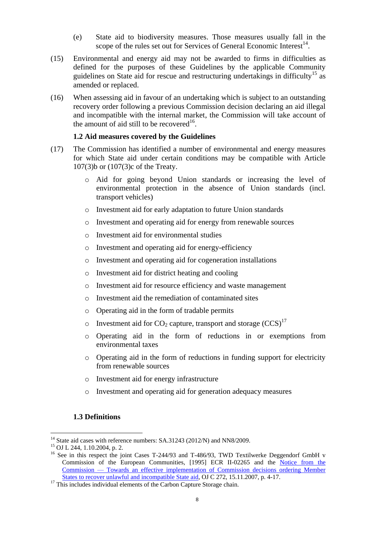- (e) State aid to biodiversity measures. Those measures usually fall in the scope of the rules set out for Services of General Economic Interest<sup>14</sup>.
- (15) Environmental and energy aid may not be awarded to firms in difficulties as defined for the purposes of these Guidelines by the applicable Community guidelines on State aid for rescue and restructuring undertakings in difficulty<sup>15</sup> as amended or replaced.
- (16) When assessing aid in favour of an undertaking which is subject to an outstanding recovery order following a previous Commission decision declaring an aid illegal and incompatible with the internal market, the Commission will take account of the amount of aid still to be recovered<sup>16</sup>.

### **1.2 Aid measures covered by the Guidelines**

- (17) The Commission has identified a number of environmental and energy measures for which State aid under certain conditions may be compatible with Article 107(3)b or (107(3)c of the Treaty.
	- o Aid for going beyond Union standards or increasing the level of environmental protection in the absence of Union standards (incl. transport vehicles)
	- o Investment aid for early adaptation to future Union standards
	- o Investment and operating aid for energy from renewable sources
	- o Investment aid for environmental studies
	- o Investment and operating aid for energy-efficiency
	- o Investment and operating aid for cogeneration installations
	- o Investment aid for district heating and cooling
	- o Investment aid for resource efficiency and waste management
	- o Investment aid the remediation of contaminated sites
	- o Operating aid in the form of tradable permits
	- o Investment aid for  $CO_2$  capture, transport and storage  $(CCS)^{17}$
	- o Operating aid in the form of reductions in or exemptions from environmental taxes
	- o Operating aid in the form of reductions in funding support for electricity from renewable sources
	- o Investment aid for energy infrastructure
	- o Investment and operating aid for generation adequacy measures

### **1.3 Definitions**

 $14$  State aid cases with reference numbers: SA.31243 (2012/N) and NN8/2009.

<sup>15</sup> OJ L 244, 1.10.2004, p. 2.

<sup>&</sup>lt;sup>16</sup> See in this respect the joint Cases T-244/93 and T-486/93, TWD Textilwerke Deggendorf GmbH v Commission of the European Communities, [1995] ECR II-02265 and the [Notice from the](http://eur-lex.europa.eu/LexUriServ/LexUriServ.do?uri=CELEX:52007XC1115(01):EN:NOT)  Commission — [Towards an effective implementation of Commission decisions ordering Member](http://eur-lex.europa.eu/LexUriServ/LexUriServ.do?uri=CELEX:52007XC1115(01):EN:NOT)  [States to recover unlawful and incompatible State aid,](http://eur-lex.europa.eu/LexUriServ/LexUriServ.do?uri=CELEX:52007XC1115(01):EN:NOT) OJ C 272, 15.11.2007, p. 4-17.

<sup>&</sup>lt;sup>17</sup> This includes individual elements of the Carbon Capture Storage chain.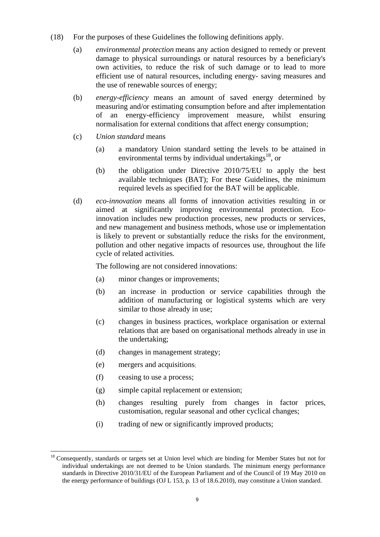- (18) For the purposes of these Guidelines the following definitions apply.
	- (a) *environmental protection* means any action designed to remedy or prevent damage to physical surroundings or natural resources by a beneficiary's own activities, to reduce the risk of such damage or to lead to more efficient use of natural resources, including energy- saving measures and the use of renewable sources of energy;
	- (b) *energy-efficiency* means an amount of saved energy determined by measuring and/or estimating consumption before and after implementation of an energy-efficiency improvement measure, whilst ensuring normalisation for external conditions that affect energy consumption;
	- (c) *Union standard* means
		- (a) a mandatory Union standard setting the levels to be attained in environmental terms by individual undertakings $18$ , or
		- (b) the obligation under Directive 2010/75/EU to apply the best available techniques (BAT); For these Guidelines, the minimum required levels as specified for the BAT will be applicable.
	- (d) *eco-innovation* means all forms of innovation activities resulting in or aimed at significantly improving environmental protection. Ecoinnovation includes new production processes, new products or services, and new management and business methods, whose use or implementation is likely to prevent or substantially reduce the risks for the environment, pollution and other negative impacts of resources use, throughout the life cycle of related activities.

The following are not considered innovations:

- (a) minor changes or improvements;
- (b) an increase in production or service capabilities through the addition of manufacturing or logistical systems which are very similar to those already in use;
- (c) changes in business practices, workplace organisation or external relations that are based on organisational methods already in use in the undertaking;
- (d) changes in management strategy;
- (e) mergers and acquisitions;
- (f) ceasing to use a process;
- (g) simple capital replacement or extension;
- (h) changes resulting purely from changes in factor prices, customisation, regular seasonal and other cyclical changes;
- (i) trading of new or significantly improved products;

 $\overline{a}$ <sup>18</sup> Consequently, standards or targets set at Union level which are binding for Member States but not for individual undertakings are not deemed to be Union standards. The minimum energy performance standards in Directive 2010/31/EU of the European Parliament and of the Council of 19 May 2010 on the energy performance of buildings (OJ L 153, p. 13 of 18.6.2010), may constitute a Union standard.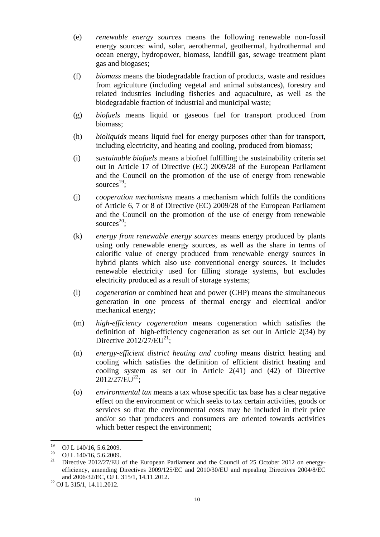- (e) *renewable energy sources* means the following renewable non-fossil energy sources: wind, solar, aerothermal, geothermal, hydrothermal and ocean energy, hydropower, biomass, landfill gas, sewage treatment plant gas and biogases;
- (f) *biomass* means the biodegradable fraction of products, waste and residues from agriculture (including vegetal and animal substances), forestry and related industries including fisheries and aquaculture, as well as the biodegradable fraction of industrial and municipal waste;
- (g) *biofuels* means liquid or gaseous fuel for transport produced from biomass;
- (h) *bioliquids* means liquid fuel for energy purposes other than for transport, including electricity, and heating and cooling, produced from biomass;
- (i) *sustainable biofuels* means a biofuel fulfilling the sustainability criteria set out in Article 17 of Directive (EC) 2009/28 of the European Parliament and the Council on the promotion of the use of energy from renewable sources $^{19}$ ;
- (j) *cooperation mechanisms* means a mechanism which fulfils the conditions of Article 6, 7 or 8 of Directive (EC) 2009/28 of the European Parliament and the Council on the promotion of the use of energy from renewable sources $^{20}$ ;
- (k) *energy from renewable energy sources* means energy produced by plants using only renewable energy sources, as well as the share in terms of calorific value of energy produced from renewable energy sources in hybrid plants which also use conventional energy sources. It includes renewable electricity used for filling storage systems, but excludes electricity produced as a result of storage systems;
- (l) *cogeneration* or combined heat and power (CHP) means the simultaneous generation in one process of thermal energy and electrical and/or mechanical energy;
- (m) *high-efficiency cogeneration* means cogeneration which satisfies the definition of high-efficiency cogeneration as set out in Article 2(34) by Directive  $2012/27/EU^{21}$ ;
- (n) *energy-efficient district heating and cooling* means district heating and cooling which satisfies the definition of efficient district heating and cooling system as set out in Article 2(41) and (42) of Directive  $2012/27$ /EU<sup>22</sup>;
- (o) *environmental tax* means a tax whose specific tax base has a clear negative effect on the environment or which seeks to tax certain activities, goods or services so that the environmental costs may be included in their price and/or so that producers and consumers are oriented towards activities which better respect the environment;

<sup>19</sup> <sup>19</sup> OJ L 140/16, 5.6.2009.

<sup>&</sup>lt;sup>20</sup> OJ L 140/16, 5.6.2009.

<sup>21</sup> Directive 2012/27/EU of the European Parliament and the Council of 25 October 2012 on energyefficiency, amending Directives 2009/125/EC and 2010/30/EU and repealing Directives 2004/8/EC and 2006/32/EC, OJ L 315/1, 14.11.2012.

<sup>22</sup> OJ L 315/1, 14.11.2012.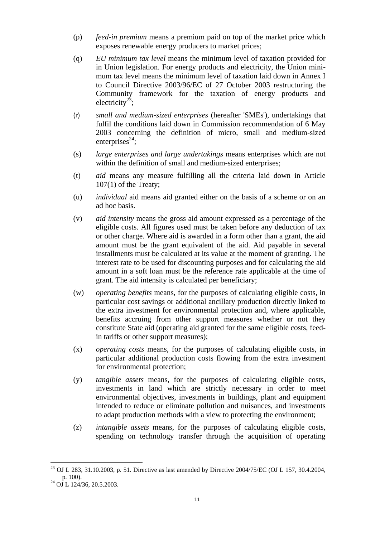- (p) *feed-in premium* means a premium paid on top of the market price which exposes renewable energy producers to market prices;
- (q) *EU minimum tax level* means the minimum level of taxation provided for in Union legislation. For energy products and electricity, the Union minimum tax level means the minimum level of taxation laid down in Annex I to Council Directive 2003/96/EC of 27 October 2003 restructuring the Community framework for the taxation of energy products and electricity<sup>23</sup>;
- (r) *small and medium-sized enterprises* (hereafter 'SMEs'), undertakings that fulfil the conditions laid down in Commission recommendation of 6 May 2003 concerning the definition of micro, small and medium-sized enterprises $^{24}$ ;
- (s) *large enterprises and large undertakings* means enterprises which are not within the definition of small and medium-sized enterprises;
- (t) *aid* means any measure fulfilling all the criteria laid down in Article 107(1) of the Treaty;
- (u) *individual* aid means aid granted either on the basis of a scheme or on an ad hoc basis.
- (v) *aid intensity* means the gross aid amount expressed as a percentage of the eligible costs. All figures used must be taken before any deduction of tax or other charge. Where aid is awarded in a form other than a grant, the aid amount must be the grant equivalent of the aid. Aid payable in several installments must be calculated at its value at the moment of granting. The interest rate to be used for discounting purposes and for calculating the aid amount in a soft loan must be the reference rate applicable at the time of grant. The aid intensity is calculated per beneficiary;
- (w) *operating benefits* means, for the purposes of calculating eligible costs, in particular cost savings or additional ancillary production directly linked to the extra investment for environmental protection and, where applicable, benefits accruing from other support measures whether or not they constitute State aid (operating aid granted for the same eligible costs, feedin tariffs or other support measures);
- (x) *operating costs* means, for the purposes of calculating eligible costs, in particular additional production costs flowing from the extra investment for environmental protection;
- (y) *tangible assets* means, for the purposes of calculating eligible costs, investments in land which are strictly necessary in order to meet environmental objectives, investments in buildings, plant and equipment intended to reduce or eliminate pollution and nuisances, and investments to adapt production methods with a view to protecting the environment;
- (z) *intangible assets* means, for the purposes of calculating eligible costs, spending on technology transfer through the acquisition of operating

 $\overline{a}$ <sup>23</sup> OJ L 283, 31.10.2003, p. 51. Directive as last amended by Directive 2004/75/EC (OJ L 157, 30.4.2004, p. 100).

 $^{24}$  OJ L 124/36, 20.5.2003.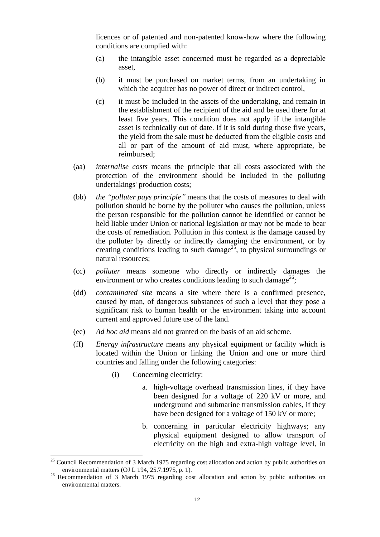licences or of patented and non-patented know-how where the following conditions are complied with:

- (a) the intangible asset concerned must be regarded as a depreciable asset,
- (b) it must be purchased on market terms, from an undertaking in which the acquirer has no power of direct or indirect control,
- (c) it must be included in the assets of the undertaking, and remain in the establishment of the recipient of the aid and be used there for at least five years. This condition does not apply if the intangible asset is technically out of date. If it is sold during those five years, the yield from the sale must be deducted from the eligible costs and all or part of the amount of aid must, where appropriate, be reimbursed;
- (aa) *internalise costs* means the principle that all costs associated with the protection of the environment should be included in the polluting undertakings' production costs;
- (bb) *the "polluter pays principle"* means that the costs of measures to deal with pollution should be borne by the polluter who causes the pollution, unless the person responsible for the pollution cannot be identified or cannot be held liable under Union or national legislation or may not be made to bear the costs of remediation. Pollution in this context is the damage caused by the polluter by directly or indirectly damaging the environment, or by creating conditions leading to such damage<sup>25</sup>, to physical surroundings or natural resources;
- (cc) *polluter* means someone who directly or indirectly damages the environment or who creates conditions leading to such damage<sup>26</sup>;
- (dd) *contaminated site* means a site where there is a confirmed presence, caused by man, of dangerous substances of such a level that they pose a significant risk to human health or the environment taking into account current and approved future use of the land.
- (ee) *Ad hoc aid* means aid not granted on the basis of an aid scheme.
- (ff) *Energy infrastructure* means any physical equipment or facility which is located within the Union or linking the Union and one or more third countries and falling under the following categories:
	- (i) Concerning electricity:

- a. high-voltage overhead transmission lines, if they have been designed for a voltage of 220 kV or more, and underground and submarine transmission cables, if they have been designed for a voltage of 150 kV or more;
- b. concerning in particular electricity highways; any physical equipment designed to allow transport of electricity on the high and extra-high voltage level, in

 $25$  Council Recommendation of 3 March 1975 regarding cost allocation and action by public authorities on environmental matters (OJ L 194, 25.7.1975, p. 1).

<sup>&</sup>lt;sup>26</sup> Recommendation of 3 March 1975 regarding cost allocation and action by public authorities on environmental matters.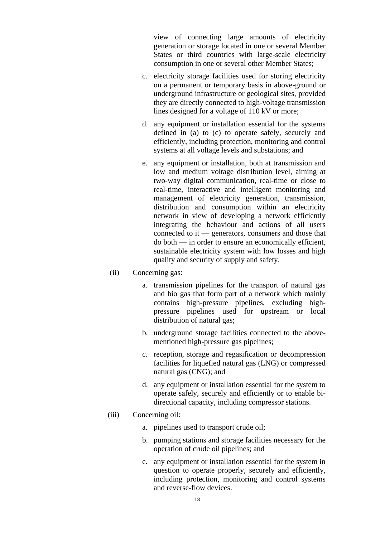view of connecting large amounts of electricity generation or storage located in one or several Member States or third countries with large-scale electricity consumption in one or several other Member States;

- c. electricity storage facilities used for storing electricity on a permanent or temporary basis in above-ground or underground infrastructure or geological sites, provided they are directly connected to high-voltage transmission lines designed for a voltage of 110 kV or more;
- d. any equipment or installation essential for the systems defined in (a) to (c) to operate safely, securely and efficiently, including protection, monitoring and control systems at all voltage levels and substations; and
- e. any equipment or installation, both at transmission and low and medium voltage distribution level, aiming at two-way digital communication, real-time or close to real-time, interactive and intelligent monitoring and management of electricity generation, transmission, distribution and consumption within an electricity network in view of developing a network efficiently integrating the behaviour and actions of all users connected to it — generators, consumers and those that do both — in order to ensure an economically efficient, sustainable electricity system with low losses and high quality and security of supply and safety.
- (ii) Concerning gas:
	- a. transmission pipelines for the transport of natural gas and bio gas that form part of a network which mainly contains high-pressure pipelines, excluding highpressure pipelines used for upstream or local distribution of natural gas;
	- b. underground storage facilities connected to the abovementioned high-pressure gas pipelines;
	- c. reception, storage and regasification or decompression facilities for liquefied natural gas (LNG) or compressed natural gas (CNG); and
	- d. any equipment or installation essential for the system to operate safely, securely and efficiently or to enable bidirectional capacity, including compressor stations.
- (iii) Concerning oil:
	- a. pipelines used to transport crude oil;
	- b. pumping stations and storage facilities necessary for the operation of crude oil pipelines; and
	- c. any equipment or installation essential for the system in question to operate properly, securely and efficiently, including protection, monitoring and control systems and reverse-flow devices.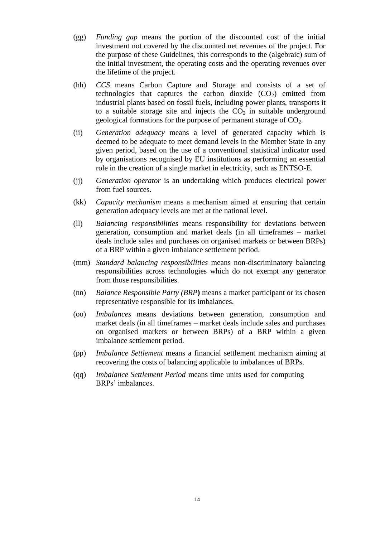- (gg) *Funding gap* means the portion of the discounted cost of the initial investment not covered by the discounted net revenues of the project. For the purpose of these Guidelines, this corresponds to the (algebraic) sum of the initial investment, the operating costs and the operating revenues over the lifetime of the project.
- (hh) *CCS* means Carbon Capture and Storage and consists of a set of technologies that captures the carbon dioxide  $(CO<sub>2</sub>)$  emitted from industrial plants based on fossil fuels, including power plants, transports it to a suitable storage site and injects the  $CO<sub>2</sub>$  in suitable underground geological formations for the purpose of permanent storage of  $CO<sub>2</sub>$ .
- (ii) *Generation adequacy* means a level of generated capacity which is deemed to be adequate to meet demand levels in the Member State in any given period, based on the use of a conventional statistical indicator used by organisations recognised by EU institutions as performing an essential role in the creation of a single market in electricity, such as ENTSO-E.
- (jj) *Generation operator* is an undertaking which produces electrical power from fuel sources.
- (kk) *Capacity mechanism* means a mechanism aimed at ensuring that certain generation adequacy levels are met at the national level.
- (ll) *Balancing responsibilities* means responsibility for deviations between generation, consumption and market deals (in all timeframes – market deals include sales and purchases on organised markets or between BRPs) of a BRP within a given imbalance settlement period.
- (mm) *Standard balancing responsibilities* means non-discriminatory balancing responsibilities across technologies which do not exempt any generator from those responsibilities.
- (nn) *Balance Responsible Party (BRP***)** means a market participant or its chosen representative responsible for its imbalances.
- (oo) *Imbalances* means deviations between generation, consumption and market deals (in all timeframes – market deals include sales and purchases on organised markets or between BRPs) of a BRP within a given imbalance settlement period.
- (pp) *Imbalance Settlement* means a financial settlement mechanism aiming at recovering the costs of balancing applicable to imbalances of BRPs.
- (qq) *Imbalance Settlement Period* means time units used for computing BRPs' imbalances.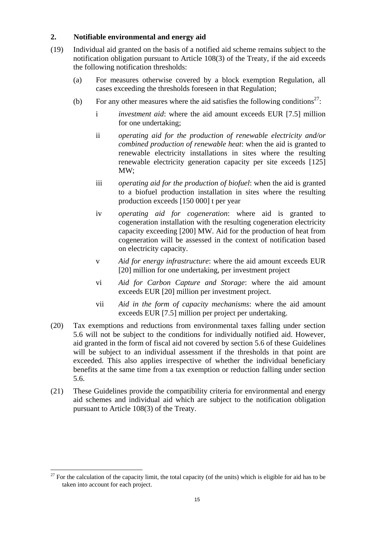# **2. Notifiable environmental and energy aid**

- (19) Individual aid granted on the basis of a notified aid scheme remains subject to the notification obligation pursuant to Article 108(3) of the Treaty, if the aid exceeds the following notification thresholds:
	- (a) For measures otherwise covered by a block exemption Regulation, all cases exceeding the thresholds foreseen in that Regulation;
	- (b) For any other measures where the aid satisfies the following conditions<sup>27</sup>:
		- i *investment aid*: where the aid amount exceeds EUR [7.5] million for one undertaking;
		- ii *operating aid for the production of renewable electricity and/or combined production of renewable heat*: when the aid is granted to renewable electricity installations in sites where the resulting renewable electricity generation capacity per site exceeds [125] MW;
		- iii *operating aid for the production of biofuel*: when the aid is granted to a biofuel production installation in sites where the resulting production exceeds [150 000] t per year
		- iv *operating aid for cogeneration*: where aid is granted to cogeneration installation with the resulting cogeneration electricity capacity exceeding [200] MW. Aid for the production of heat from cogeneration will be assessed in the context of notification based on electricity capacity.
		- v *Aid for energy infrastructure*: where the aid amount exceeds EUR [20] million for one undertaking, per investment project
		- vi *Aid for Carbon Capture and Storage*: where the aid amount exceeds EUR [20] million per investment project.
		- vii *Aid in the form of capacity mechanisms*: where the aid amount exceeds EUR [7.5] million per project per undertaking.
- (20) Tax exemptions and reductions from environmental taxes falling under section 5.6 will not be subject to the conditions for individually notified aid. However, aid granted in the form of fiscal aid not covered by section 5.6 of these Guidelines will be subject to an individual assessment if the thresholds in that point are exceeded. This also applies irrespective of whether the individual beneficiary benefits at the same time from a tax exemption or reduction falling under section 5.6.
- (21) These Guidelines provide the compatibility criteria for environmental and energy aid schemes and individual aid which are subject to the notification obligation pursuant to Article 108(3) of the Treaty.

 $\overline{a}$  $27$  For the calculation of the capacity limit, the total capacity (of the units) which is eligible for aid has to be taken into account for each project.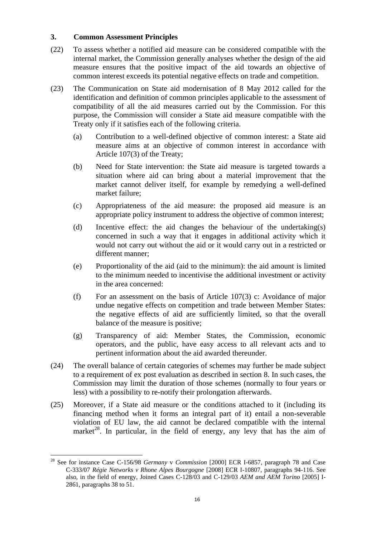### **3. Common Assessment Principles**

- (22) To assess whether a notified aid measure can be considered compatible with the internal market, the Commission generally analyses whether the design of the aid measure ensures that the positive impact of the aid towards an objective of common interest exceeds its potential negative effects on trade and competition.
- (23) The Communication on State aid modernisation of 8 May 2012 called for the identification and definition of common principles applicable to the assessment of compatibility of all the aid measures carried out by the Commission. For this purpose, the Commission will consider a State aid measure compatible with the Treaty only if it satisfies each of the following criteria.
	- (a) Contribution to a well-defined objective of common interest: a State aid measure aims at an objective of common interest in accordance with Article 107(3) of the Treaty;
	- (b) Need for State intervention: the State aid measure is targeted towards a situation where aid can bring about a material improvement that the market cannot deliver itself, for example by remedying a well-defined market failure;
	- (c) Appropriateness of the aid measure: the proposed aid measure is an appropriate policy instrument to address the objective of common interest;
	- (d) Incentive effect: the aid changes the behaviour of the undertaking(s) concerned in such a way that it engages in additional activity which it would not carry out without the aid or it would carry out in a restricted or different manner;
	- (e) Proportionality of the aid (aid to the minimum): the aid amount is limited to the minimum needed to incentivise the additional investment or activity in the area concerned:
	- (f) For an assessment on the basis of Article 107(3) c: Avoidance of major undue negative effects on competition and trade between Member States: the negative effects of aid are sufficiently limited, so that the overall balance of the measure is positive;
	- (g) Transparency of aid: Member States, the Commission, economic operators, and the public, have easy access to all relevant acts and to pertinent information about the aid awarded thereunder.
- (24) The overall balance of certain categories of schemes may further be made subject to a requirement of ex post evaluation as described in section 8. In such cases, the Commission may limit the duration of those schemes (normally to four years or less) with a possibility to re-notify their prolongation afterwards.
- (25) Moreover, if a State aid measure or the conditions attached to it (including its financing method when it forms an integral part of it) entail a non-severable violation of EU law, the aid cannot be declared compatible with the internal market<sup>28</sup>. In particular, in the field of energy, any levy that has the aim of

 $\overline{a}$ <sup>28</sup> See for instance Case C-156/98 *Germany* v *Commission* [2000] ECR I-6857, paragraph 78 and Case C-333/07 *Régie Networks v Rhone Alpes Bourgogne* [2008] ECR I-10807, paragraphs 94-116. See also, in the field of energy, Joined Cases C-128/03 and C-129/03 *AEM and AEM Torino* [2005] I-2861, paragraphs 38 to 51.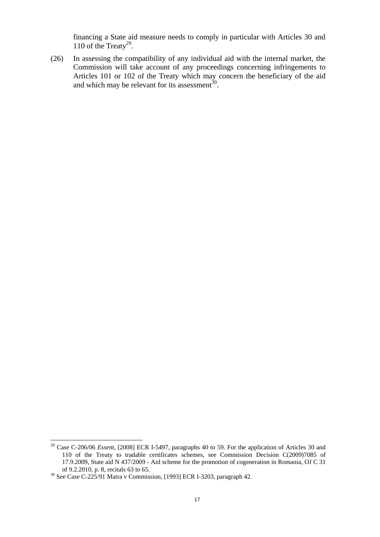financing a State aid measure needs to comply in particular with Articles 30 and 110 of the Treaty<sup>29</sup>.

(26) In assessing the compatibility of any individual aid with the internal market, the Commission will take account of any proceedings concerning infringements to Articles 101 or 102 of the Treaty which may concern the beneficiary of the aid and which may be relevant for its assessment<sup>30</sup>.

<sup>&</sup>lt;sup>29</sup> Case C-206/06 *Essent*, [2008] ECR I-5497, paragraphs 40 to 59. For the application of Articles 30 and 110 of the Treaty to tradable certificates schemes, see Commission Decision C(2009)7085 of 17.9.2009, State aid N 437/2009 - Aid scheme for the promotion of cogeneration in Romania, OJ C 31 of 9.2.2010, p. 8, recitals 63 to 65.

 $30$  See Case C-225/91 Matra v Commission, [1993] ECR I-3203, paragraph 42.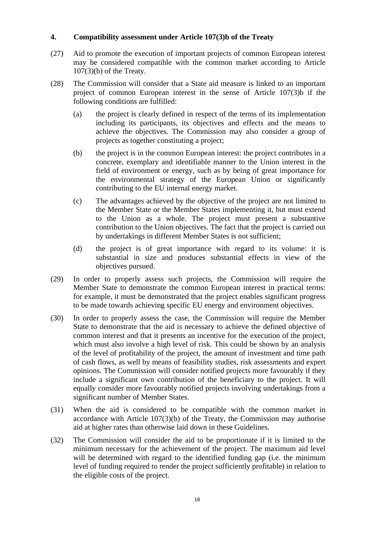### **4. Compatibility assessment under Article 107(3)b of the Treaty**

- (27) Aid to promote the execution of important projects of common European interest may be considered compatible with the common market according to Article 107(3)(b) of the Treaty.
- (28) The Commission will consider that a State aid measure is linked to an important project of common European interest in the sense of Article 107(3)b if the following conditions are fulfilled:
	- (a) the project is clearly defined in respect of the terms of its implementation including its participants, its objectives and effects and the means to achieve the objectives. The Commission may also consider a group of projects as together constituting a project;
	- (b) the project is in the common European interest: the project contributes in a concrete, exemplary and identifiable manner to the Union interest in the field of environment or energy, such as by being of great importance for the environmental strategy of the European Union or significantly contributing to the EU internal energy market.
	- (c) The advantages achieved by the objective of the project are not limited to the Member State or the Member States implementing it, but must extend to the Union as a whole. The project must present a substantive contribution to the Union objectives. The fact that the project is carried out by undertakings in different Member States is not sufficient;
	- (d) the project is of great importance with regard to its volume: it is substantial in size and produces substantial effects in view of the objectives pursued.
- (29) In order to properly assess such projects, the Commission will require the Member State to demonstrate the common European interest in practical terms: for example, it must be demonstrated that the project enables significant progress to be made towards achieving specific EU energy and environment objectives.
- (30) In order to properly assess the case, the Commission will require the Member State to demonstrate that the aid is necessary to achieve the defined objective of common interest and that it presents an incentive for the execution of the project, which must also involve a high level of risk. This could be shown by an analysis of the level of profitability of the project, the amount of investment and time path of cash flows, as well by means of feasibility studies, risk assessments and expert opinions. The Commission will consider notified projects more favourably if they include a significant own contribution of the beneficiary to the project. It will equally consider more favourably notified projects involving undertakings from a significant number of Member States.
- (31) When the aid is considered to be compatible with the common market in accordance with Article 107(3)(b) of the Treaty, the Commission may authorise aid at higher rates than otherwise laid down in these Guidelines.
- (32) The Commission will consider the aid to be proportionate if it is limited to the minimum necessary for the achievement of the project. The maximum aid level will be determined with regard to the identified funding gap (*i.e.* the minimum level of funding required to render the project sufficiently profitable) in relation to the eligible costs of the project.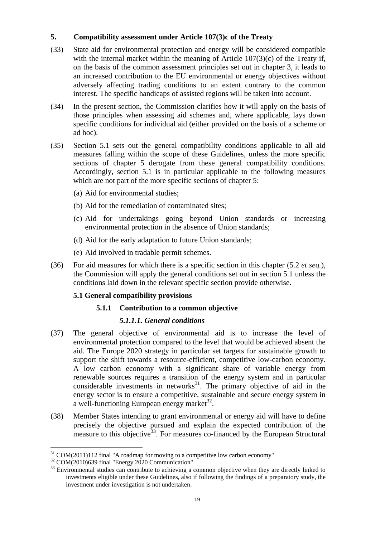# **5. Compatibility assessment under Article 107(3)c of the Treaty**

- (33) State aid for environmental protection and energy will be considered compatible with the internal market within the meaning of Article 107(3)(c) of the Treaty if, on the basis of the common assessment principles set out in chapter 3, it leads to an increased contribution to the EU environmental or energy objectives without adversely affecting trading conditions to an extent contrary to the common interest. The specific handicaps of assisted regions will be taken into account.
- (34) In the present section, the Commission clarifies how it will apply on the basis of those principles when assessing aid schemes and, where applicable, lays down specific conditions for individual aid (either provided on the basis of a scheme or ad hoc).
- <span id="page-18-1"></span>(35) Section 5.1 sets out the general compatibility conditions applicable to all aid measures falling within the scope of these Guidelines, unless the more specific sections of chapter 5 derogate from these general compatibility conditions. Accordingly, section 5.1 is in particular applicable to the following measures which are not part of the more specific sections of chapter 5:
	- (a) Aid for environmental studies;
	- (b) Aid for the remediation of contaminated sites;
	- (c) Aid for undertakings going beyond Union standards or increasing environmental protection in the absence of Union standards;
	- (d) Aid for the early adaptation to future Union standards;
	- (e) Aid involved in tradable permit schemes.
- (36) For aid measures for which there is a specific section in this chapter (5.2 *et seq.*), the Commission will apply the general conditions set out in section 5.1 unless the conditions laid down in the relevant specific section provide otherwise.

### **5.1 General compatibility provisions**

### **5.1.1 Contribution to a common objective**

### *5.1.1.1. General conditions*

- <span id="page-18-0"></span>(37) The general objective of environmental aid is to increase the level of environmental protection compared to the level that would be achieved absent the aid. The Europe 2020 strategy in particular set targets for sustainable growth to support the shift towards a resource-efficient, competitive low-carbon economy. A low carbon economy with a significant share of variable energy from renewable sources requires a transition of the energy system and in particular considerable investments in networks $31$ . The primary objective of aid in the energy sector is to ensure a competitive, sustainable and secure energy system in a well-functioning European energy market<sup>32</sup>.
- (38) Member States intending to grant environmental or energy aid will have to define precisely the objective pursued and explain the expected contribution of the measure to this objective<sup>33</sup>. For measures co-financed by the European Structural

 $\overline{a}$  $31$  COM(2011)112 final "A roadmap for moving to a competitive low carbon economy"

<sup>32</sup> COM(2010)639 final "Energy 2020 Communication"

<sup>&</sup>lt;sup>33</sup> Environmental studies can contribute to achieving a common objective when they are directly linked to investments eligible under these Guidelines, also if following the findings of a preparatory study, the investment under investigation is not undertaken.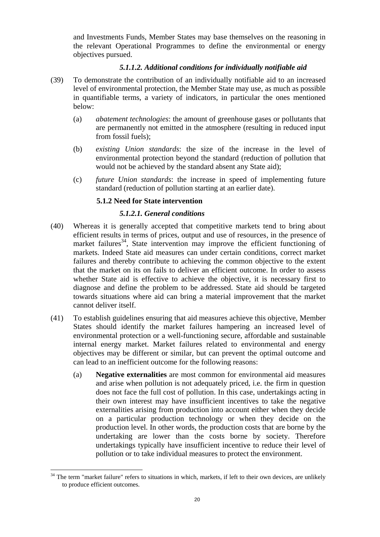and Investments Funds, Member States may base themselves on the reasoning in the relevant Operational Programmes to define the environmental or energy objectives pursued.

### *5.1.1.2. Additional conditions for individually notifiable aid*

- (39) To demonstrate the contribution of an individually notifiable aid to an increased level of environmental protection, the Member State may use, as much as possible in quantifiable terms, a variety of indicators, in particular the ones mentioned below:
	- (a) *abatement technologies*: the amount of greenhouse gases or pollutants that are permanently not emitted in the atmosphere (resulting in reduced input from fossil fuels);
	- (b) *existing Union standards*: the size of the increase in the level of environmental protection beyond the standard (reduction of pollution that would not be achieved by the standard absent any State aid);
	- (c) *future Union standards*: the increase in speed of implementing future standard (reduction of pollution starting at an earlier date).

### **5.1.2 Need for State intervention**

### *5.1.2.1. General conditions*

- (40) Whereas it is generally accepted that competitive markets tend to bring about efficient results in terms of prices, output and use of resources, in the presence of market failures<sup>34</sup>, State intervention may improve the efficient functioning of markets. Indeed State aid measures can under certain conditions, correct market failures and thereby contribute to achieving the common objective to the extent that the market on its on fails to deliver an efficient outcome. In order to assess whether State aid is effective to achieve the objective, it is necessary first to diagnose and define the problem to be addressed. State aid should be targeted towards situations where aid can bring a material improvement that the market cannot deliver itself.
- <span id="page-19-0"></span>(41) To establish guidelines ensuring that aid measures achieve this objective, Member States should identify the market failures hampering an increased level of environmental protection or a well-functioning secure, affordable and sustainable internal energy market. Market failures related to environmental and energy objectives may be different or similar, but can prevent the optimal outcome and can lead to an inefficient outcome for the following reasons:
	- (a) **Negative externalities** are most common for environmental aid measures and arise when pollution is not adequately priced, i.e. the firm in question does not face the full cost of pollution. In this case, undertakings acting in their own interest may have insufficient incentives to take the negative externalities arising from production into account either when they decide on a particular production technology or when they decide on the production level. In other words, the production costs that are borne by the undertaking are lower than the costs borne by society. Therefore undertakings typically have insufficient incentive to reduce their level of pollution or to take individual measures to protect the environment.

 $\overline{a}$  $34$  The term "market failure" refers to situations in which, markets, if left to their own devices, are unlikely to produce efficient outcomes.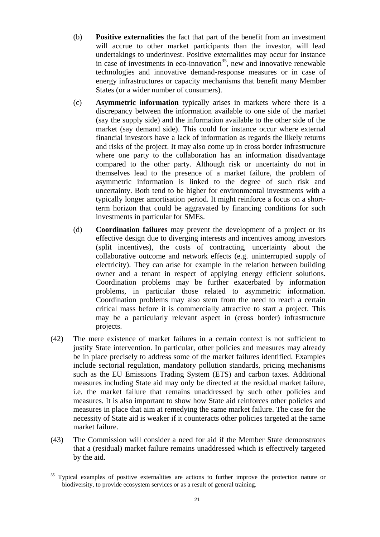- (b) **Positive externalities** the fact that part of the benefit from an investment will accrue to other market participants than the investor, will lead undertakings to underinvest. Positive externalities may occur for instance in case of investments in eco-innovation<sup>35</sup>, new and innovative renewable technologies and innovative demand-response measures or in case of energy infrastructures or capacity mechanisms that benefit many Member States (or a wider number of consumers).
- (c) **Asymmetric information** typically arises in markets where there is a discrepancy between the information available to one side of the market (say the supply side) and the information available to the other side of the market (say demand side). This could for instance occur where external financial investors have a lack of information as regards the likely returns and risks of the project. It may also come up in cross border infrastructure where one party to the collaboration has an information disadvantage compared to the other party. Although risk or uncertainty do not in themselves lead to the presence of a market failure, the problem of asymmetric information is linked to the degree of such risk and uncertainty. Both tend to be higher for environmental investments with a typically longer amortisation period. It might reinforce a focus on a shortterm horizon that could be aggravated by financing conditions for such investments in particular for SMEs.
- (d) **Coordination failures** may prevent the development of a project or its effective design due to diverging interests and incentives among investors (split incentives), the costs of contracting, uncertainty about the collaborative outcome and network effects (e.g. uninterrupted supply of electricity). They can arise for example in the relation between building owner and a tenant in respect of applying energy efficient solutions. Coordination problems may be further exacerbated by information problems, in particular those related to asymmetric information. Coordination problems may also stem from the need to reach a certain critical mass before it is commercially attractive to start a project. This may be a particularly relevant aspect in (cross border) infrastructure projects.
- (42) The mere existence of market failures in a certain context is not sufficient to justify State intervention. In particular, other policies and measures may already be in place precisely to address some of the market failures identified. Examples include sectorial regulation, mandatory pollution standards, pricing mechanisms such as the EU Emissions Trading System (ETS) and carbon taxes. Additional measures including State aid may only be directed at the residual market failure, i.e. the market failure that remains unaddressed by such other policies and measures. It is also important to show how State aid reinforces other policies and measures in place that aim at remedying the same market failure. The case for the necessity of State aid is weaker if it counteracts other policies targeted at the same market failure.
- (43) The Commission will consider a need for aid if the Member State demonstrates that a (residual) market failure remains unaddressed which is effectively targeted by the aid.

<sup>&</sup>lt;sup>35</sup> Typical examples of positive externalities are actions to further improve the protection nature or biodiversity, to provide ecosystem services or as a result of general training.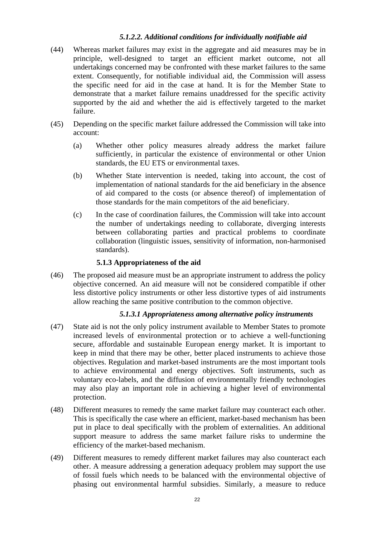### *5.1.2.2. Additional conditions for individually notifiable aid*

- (44) Whereas market failures may exist in the aggregate and aid measures may be in principle, well-designed to target an efficient market outcome, not all undertakings concerned may be confronted with these market failures to the same extent. Consequently, for notifiable individual aid, the Commission will assess the specific need for aid in the case at hand. It is for the Member State to demonstrate that a market failure remains unaddressed for the specific activity supported by the aid and whether the aid is effectively targeted to the market failure.
- (45) Depending on the specific market failure addressed the Commission will take into account:
	- (a) Whether other policy measures already address the market failure sufficiently, in particular the existence of environmental or other Union standards, the EU ETS or environmental taxes.
	- (b) Whether State intervention is needed, taking into account, the cost of implementation of national standards for the aid beneficiary in the absence of aid compared to the costs (or absence thereof) of implementation of those standards for the main competitors of the aid beneficiary.
	- (c) In the case of coordination failures, the Commission will take into account the number of undertakings needing to collaborate, diverging interests between collaborating parties and practical problems to coordinate collaboration (linguistic issues, sensitivity of information, non-harmonised standards).

### **5.1.3 Appropriateness of the aid**

(46) The proposed aid measure must be an appropriate instrument to address the policy objective concerned. An aid measure will not be considered compatible if other less distortive policy instruments or other less distortive types of aid instruments allow reaching the same positive contribution to the common objective.

### *5.1.3.1 Appropriateness among alternative policy instruments*

- (47) State aid is not the only policy instrument available to Member States to promote increased levels of environmental protection or to achieve a well-functioning secure, affordable and sustainable European energy market. It is important to keep in mind that there may be other, better placed instruments to achieve those objectives. Regulation and market-based instruments are the most important tools to achieve environmental and energy objectives. Soft instruments, such as voluntary eco-labels, and the diffusion of environmentally friendly technologies may also play an important role in achieving a higher level of environmental protection.
- (48) Different measures to remedy the same market failure may counteract each other. This is specifically the case where an efficient, market-based mechanism has been put in place to deal specifically with the problem of externalities. An additional support measure to address the same market failure risks to undermine the efficiency of the market-based mechanism.
- (49) Different measures to remedy different market failures may also counteract each other. A measure addressing a generation adequacy problem may support the use of fossil fuels which needs to be balanced with the environmental objective of phasing out environmental harmful subsidies. Similarly, a measure to reduce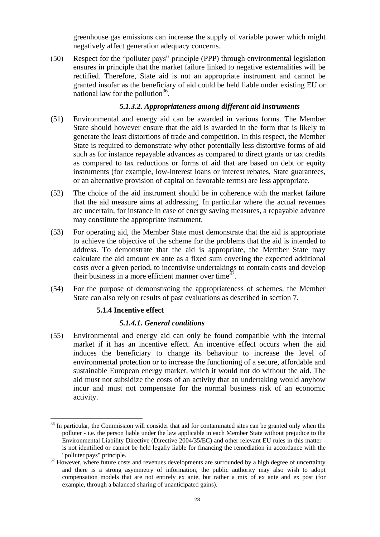greenhouse gas emissions can increase the supply of variable power which might negatively affect generation adequacy concerns.

<span id="page-22-0"></span>(50) Respect for the "polluter pays" principle (PPP) through environmental legislation ensures in principle that the market failure linked to negative externalities will be rectified. Therefore, State aid is not an appropriate instrument and cannot be granted insofar as the beneficiary of aid could be held liable under existing EU or national law for the pollution<sup>36</sup>.

### *5.1.3.2. Appropriateness among different aid instruments*

- (51) Environmental and energy aid can be awarded in various forms. The Member State should however ensure that the aid is awarded in the form that is likely to generate the least distortions of trade and competition. In this respect, the Member State is required to demonstrate why other potentially less distortive forms of aid such as for instance repayable advances as compared to direct grants or tax credits as compared to tax reductions or forms of aid that are based on debt or equity instruments (for example, low-interest loans or interest rebates, State guarantees, or an alternative provision of capital on favorable terms) are less appropriate.
- (52) The choice of the aid instrument should be in coherence with the market failure that the aid measure aims at addressing. In particular where the actual revenues are uncertain, for instance in case of energy saving measures, a repayable advance may constitute the appropriate instrument.
- (53) For operating aid, the Member State must demonstrate that the aid is appropriate to achieve the objective of the scheme for the problems that the aid is intended to address. To demonstrate that the aid is appropriate, the Member State may calculate the aid amount ex ante as a fixed sum covering the expected additional costs over a given period, to incentivise undertakings to contain costs and develop their business in a more efficient manner over time $\frac{37}{7}$ .
- (54) For the purpose of demonstrating the appropriateness of schemes, the Member State can also rely on results of past evaluations as described in section 7.

### **5.1.4 Incentive effect**

 $\overline{a}$ 

### *5.1.4.1. General conditions*

(55) Environmental and energy aid can only be found compatible with the internal market if it has an incentive effect. An incentive effect occurs when the aid induces the beneficiary to change its behaviour to increase the level of environmental protection or to increase the functioning of a secure, affordable and sustainable European energy market, which it would not do without the aid. The aid must not subsidize the costs of an activity that an undertaking would anyhow incur and must not compensate for the normal business risk of an economic activity.

<sup>&</sup>lt;sup>36</sup> In particular, the Commission will consider that aid for contaminated sites can be granted only when the polluter - i.e. the person liable under the law applicable in each Member State without prejudice to the Environmental Liability Directive (Directive 2004/35/EC) and other relevant EU rules in this matter is not identified or cannot be held legally liable for financing the remediation in accordance with the "polluter pays" principle.

 $37$  However, where future costs and revenues developments are surrounded by a high degree of uncertainty and there is a strong asymmetry of information, the public authority may also wish to adopt compensation models that are not entirely ex ante, but rather a mix of ex ante and ex post (for example, through a balanced sharing of unanticipated gains).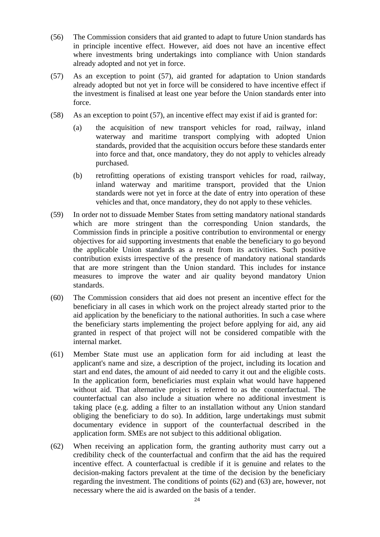- <span id="page-23-0"></span>(56) The Commission considers that aid granted to adapt to future Union standards has in principle incentive effect. However, aid does not have an incentive effect where investments bring undertakings into compliance with Union standards already adopted and not yet in force.
- (57) As an exception to point [\(57\),](#page-23-0) aid granted for adaptation to Union standards already adopted but not yet in force will be considered to have incentive effect if the investment is finalised at least one year before the Union standards enter into force.
- (58) As an exception to point [\(57\),](#page-23-0) an incentive effect may exist if aid is granted for:
	- (a) the acquisition of new transport vehicles for road, railway, inland waterway and maritime transport complying with adopted Union standards, provided that the acquisition occurs before these standards enter into force and that, once mandatory, they do not apply to vehicles already purchased.
	- (b) retrofitting operations of existing transport vehicles for road, railway, inland waterway and maritime transport, provided that the Union standards were not yet in force at the date of entry into operation of these vehicles and that, once mandatory, they do not apply to these vehicles.
- (59) In order not to dissuade Member States from setting mandatory national standards which are more stringent than the corresponding Union standards, the Commission finds in principle a positive contribution to environmental or energy objectives for aid supporting investments that enable the beneficiary to go beyond the applicable Union standards as a result from its activities. Such positive contribution exists irrespective of the presence of mandatory national standards that are more stringent than the Union standard. This includes for instance measures to improve the water and air quality beyond mandatory Union standards.
- (60) The Commission considers that aid does not present an incentive effect for the beneficiary in all cases in which work on the project already started prior to the aid application by the beneficiary to the national authorities. In such a case where the beneficiary starts implementing the project before applying for aid, any aid granted in respect of that project will not be considered compatible with the internal market.
- <span id="page-23-1"></span>(61) Member State must use an application form for aid including at least the applicant's name and size, a description of the project, including its location and start and end dates, the amount of aid needed to carry it out and the eligible costs. In the application form, beneficiaries must explain what would have happened without aid. That alternative project is referred to as the counterfactual. The counterfactual can also include a situation where no additional investment is taking place (e.g. adding a filter to an installation without any Union standard obliging the beneficiary to do so). In addition, large undertakings must submit documentary evidence in support of the counterfactual described in the application form. SMEs are not subject to this additional obligation.
- <span id="page-23-2"></span>(62) When receiving an application form, the granting authority must carry out a credibility check of the counterfactual and confirm that the aid has the required incentive effect. A counterfactual is credible if it is genuine and relates to the decision-making factors prevalent at the time of the decision by the beneficiary regarding the investment. The conditions of points [\(62\)](#page-23-1) and [\(63\)](#page-23-2) are, however, not necessary where the aid is awarded on the basis of a tender.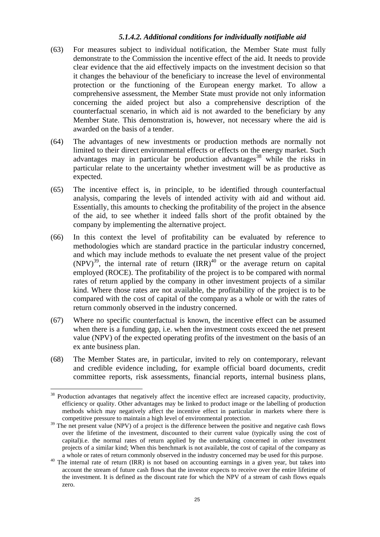### *5.1.4.2. Additional conditions for individually notifiable aid*

- (63) For measures subject to individual notification, the Member State must fully demonstrate to the Commission the incentive effect of the aid. It needs to provide clear evidence that the aid effectively impacts on the investment decision so that it changes the behaviour of the beneficiary to increase the level of environmental protection or the functioning of the European energy market. To allow a comprehensive assessment, the Member State must provide not only information concerning the aided project but also a comprehensive description of the counterfactual scenario, in which aid is not awarded to the beneficiary by any Member State. This demonstration is, however, not necessary where the aid is awarded on the basis of a tender.
- (64) The advantages of new investments or production methods are normally not limited to their direct environmental effects or effects on the energy market. Such advantages may in particular be production advantages<sup>38</sup> while the risks in particular relate to the uncertainty whether investment will be as productive as expected.
- (65) The incentive effect is, in principle, to be identified through counterfactual analysis, comparing the levels of intended activity with aid and without aid. Essentially, this amounts to checking the profitability of the project in the absence of the aid, to see whether it indeed falls short of the profit obtained by the company by implementing the alternative project.
- (66) In this context the level of profitability can be evaluated by reference to methodologies which are standard practice in the particular industry concerned, and which may include methods to evaluate the net present value of the project  $(NPV)^{39}$ , the internal rate of return  $(RR)^{40}$  or the average return on capital employed (ROCE). The profitability of the project is to be compared with normal rates of return applied by the company in other investment projects of a similar kind. Where those rates are not available, the profitability of the project is to be compared with the cost of capital of the company as a whole or with the rates of return commonly observed in the industry concerned.
- (67) Where no specific counterfactual is known, the incentive effect can be assumed when there is a funding gap, i.e. when the investment costs exceed the net present value (NPV) of the expected operating profits of the investment on the basis of an ex ante business plan.
- <span id="page-24-0"></span>(68) The Member States are, in particular, invited to rely on contemporary, relevant and credible evidence including, for example official board documents, credit committee reports, risk assessments, financial reports, internal business plans,

 $\overline{a}$  $38$  Production advantages that negatively affect the incentive effect are increased capacity, productivity, efficiency or quality. Other advantages may be linked to product image or the labelling of production methods which may negatively affect the incentive effect in particular in markets where there is competitive pressure to maintain a high level of environmental protection.

<sup>&</sup>lt;sup>39</sup> The net present value (NPV) of a project is the difference between the positive and negative cash flows over the lifetime of the investment, discounted to their current value (typically using the cost of capital)i.e. the normal rates of return applied by the undertaking concerned in other investment projects of a similar kind; When this benchmark is not available, the cost of capital of the company as a whole or rates of return commonly observed in the industry concerned may be used for this purpose.

<sup>&</sup>lt;sup>40</sup> The internal rate of return (IRR) is not based on accounting earnings in a given year, but takes into account the stream of future cash flows that the investor expects to receive over the entire lifetime of the investment. It is defined as the discount rate for which the NPV of a stream of cash flows equals zero.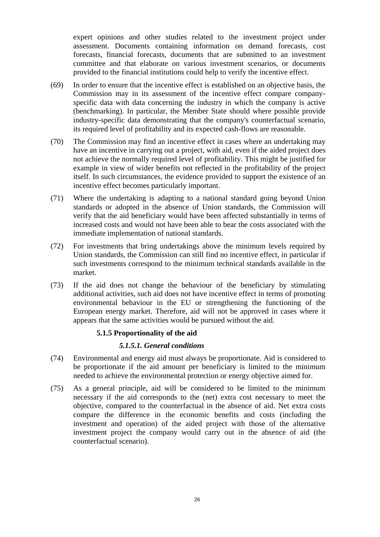expert opinions and other studies related to the investment project under assessment. Documents containing information on demand forecasts, cost forecasts, financial forecasts, documents that are submitted to an investment committee and that elaborate on various investment scenarios, or documents provided to the financial institutions could help to verify the incentive effect.

- (69) In order to ensure that the incentive effect is established on an objective basis, the Commission may in its assessment of the incentive effect compare companyspecific data with data concerning the industry in which the company is active (benchmarking). In particular, the Member State should where possible provide industry-specific data demonstrating that the company's counterfactual scenario, its required level of profitability and its expected cash-flows are reasonable.
- (70) The Commission may find an incentive effect in cases where an undertaking may have an incentive in carrying out a project, with aid, even if the aided project does not achieve the normally required level of profitability. This might be justified for example in view of wider benefits not reflected in the profitability of the project itself. In such circumstances, the evidence provided to support the existence of an incentive effect becomes particularly important.
- (71) Where the undertaking is adapting to a national standard going beyond Union standards or adopted in the absence of Union standards, the Commission will verify that the aid beneficiary would have been affected substantially in terms of increased costs and would not have been able to bear the costs associated with the immediate implementation of national standards.
- (72) For investments that bring undertakings above the minimum levels required by Union standards, the Commission can still find no incentive effect, in particular if such investments correspond to the minimum technical standards available in the market.
- (73) If the aid does not change the behaviour of the beneficiary by stimulating additional activities, such aid does not have incentive effect in terms of promoting environmental behaviour in the EU or strengthening the functioning of the European energy market. Therefore, aid will not be approved in cases where it appears that the same activities would be pursued without the aid.

### **5.1.5 Proportionality of the aid**

### *5.1.5.1. General conditions*

- (74) Environmental and energy aid must always be proportionate. Aid is considered to be proportionate if the aid amount per beneficiary is limited to the minimum needed to achieve the environmental protection or energy objective aimed for.
- (75) As a general principle, aid will be considered to be limited to the minimum necessary if the aid corresponds to the (net) extra cost necessary to meet the objective, compared to the counterfactual in the absence of aid. Net extra costs compare the difference in the economic benefits and costs (including the investment and operation) of the aided project with those of the alternative investment project the company would carry out in the absence of aid (the counterfactual scenario).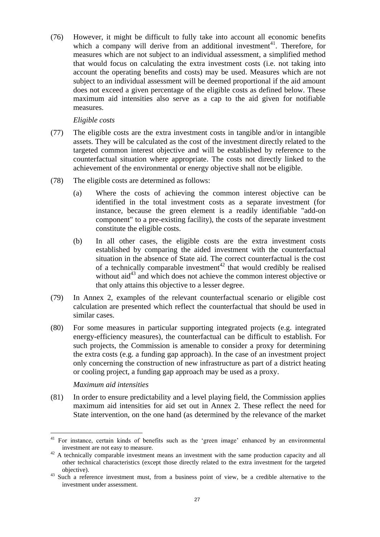(76) However, it might be difficult to fully take into account all economic benefits which a company will derive from an additional investment<sup>41</sup>. Therefore, for measures which are not subject to an individual assessment, a simplified method that would focus on calculating the extra investment costs (i.e. not taking into account the operating benefits and costs) may be used. Measures which are not subject to an individual assessment will be deemed proportional if the aid amount does not exceed a given percentage of the eligible costs as defined below. These maximum aid intensities also serve as a cap to the aid given for notifiable measures.

### *Eligible costs*

- (77) The eligible costs are the extra investment costs in tangible and/or in intangible assets. They will be calculated as the cost of the investment directly related to the targeted common interest objective and will be established by reference to the counterfactual situation where appropriate. The costs not directly linked to the achievement of the environmental or energy objective shall not be eligible.
- <span id="page-26-0"></span>(78) The eligible costs are determined as follows:
	- (a) Where the costs of achieving the common interest objective can be identified in the total investment costs as a separate investment (for instance, because the green element is a readily identifiable "add-on component" to a pre-existing facility), the costs of the separate investment constitute the eligible costs.
	- (b) In all other cases, the eligible costs are the extra investment costs established by comparing the aided investment with the counterfactual situation in the absence of State aid. The correct counterfactual is the cost of a technically comparable investment<sup>42</sup> that would credibly be realised without aid<sup>43</sup> and which does not achieve the common interest objective or that only attains this objective to a lesser degree.
- (79) In Annex 2, examples of the relevant counterfactual scenario or eligible cost calculation are presented which reflect the counterfactual that should be used in similar cases.
- <span id="page-26-1"></span>(80) For some measures in particular supporting integrated projects (e.g. integrated energy-efficiency measures), the counterfactual can be difficult to establish. For such projects, the Commission is amenable to consider a proxy for determining the extra costs (e.g. a funding gap approach). In the case of an investment project only concerning the construction of new infrastructure as part of a district heating or cooling project, a funding gap approach may be used as a proxy.

### *Maximum aid intensities*

(81) In order to ensure predictability and a level playing field, the Commission applies maximum aid intensities for aid set out in Annex 2. These reflect the need for State intervention, on the one hand (as determined by the relevance of the market

 $\overline{a}$ <sup>41</sup> For instance, certain kinds of benefits such as the 'green image' enhanced by an environmental investment are not easy to measure.

 $42$  A technically comparable investment means an investment with the same production capacity and all other technical characteristics (except those directly related to the extra investment for the targeted objective).

<sup>&</sup>lt;sup>43</sup> Such a reference investment must, from a business point of view, be a credible alternative to the investment under assessment.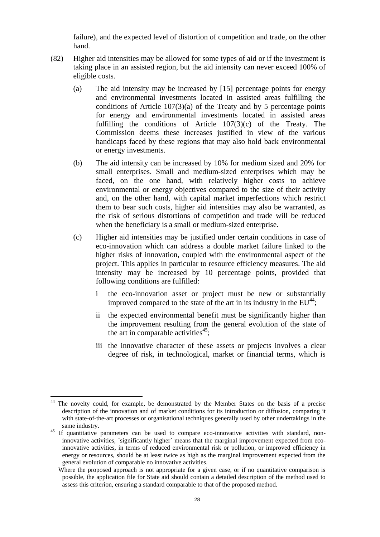failure), and the expected level of distortion of competition and trade, on the other hand.

- <span id="page-27-0"></span>(82) Higher aid intensities may be allowed for some types of aid or if the investment is taking place in an assisted region, but the aid intensity can never exceed 100% of eligible costs.
	- (a) The aid intensity may be increased by [15] percentage points for energy and environmental investments located in assisted areas fulfilling the conditions of Article  $107(3)(a)$  of the Treaty and by 5 percentage points for energy and environmental investments located in assisted areas fulfilling the conditions of Article  $107(3)(c)$  of the Treaty. The Commission deems these increases justified in view of the various handicaps faced by these regions that may also hold back environmental or energy investments.
	- (b) The aid intensity can be increased by 10% for medium sized and 20% for small enterprises. Small and medium-sized enterprises which may be faced, on the one hand, with relatively higher costs to achieve environmental or energy objectives compared to the size of their activity and, on the other hand, with capital market imperfections which restrict them to bear such costs, higher aid intensities may also be warranted, as the risk of serious distortions of competition and trade will be reduced when the beneficiary is a small or medium-sized enterprise.
	- (c) Higher aid intensities may be justified under certain conditions in case of eco-innovation which can address a double market failure linked to the higher risks of innovation, coupled with the environmental aspect of the project. This applies in particular to resource efficiency measures. The aid intensity may be increased by 10 percentage points, provided that following conditions are fulfilled:
		- i the eco-innovation asset or project must be new or substantially improved compared to the state of the art in its industry in the  $EU^{44}$ ;
		- ii the expected environmental benefit must be significantly higher than the improvement resulting from the general evolution of the state of the art in comparable activities $45$ ;
		- iii the innovative character of these assets or projects involves a clear degree of risk, in technological, market or financial terms, which is

<sup>&</sup>lt;sup>44</sup> The novelty could, for example, be demonstrated by the Member States on the basis of a precise description of the innovation and of market conditions for its introduction or diffusion, comparing it with state-of-the-art processes or organisational techniques generally used by other undertakings in the same industry.

<sup>&</sup>lt;sup>45</sup> If quantitative parameters can be used to compare eco-innovative activities with standard, noninnovative activities, ´significantly higher´ means that the marginal improvement expected from ecoinnovative activities, in terms of reduced environmental risk or pollution, or improved efficiency in energy or resources, should be at least twice as high as the marginal improvement expected from the general evolution of comparable no innovative activities.

Where the proposed approach is not appropriate for a given case, or if no quantitative comparison is possible, the application file for State aid should contain a detailed description of the method used to assess this criterion, ensuring a standard comparable to that of the proposed method.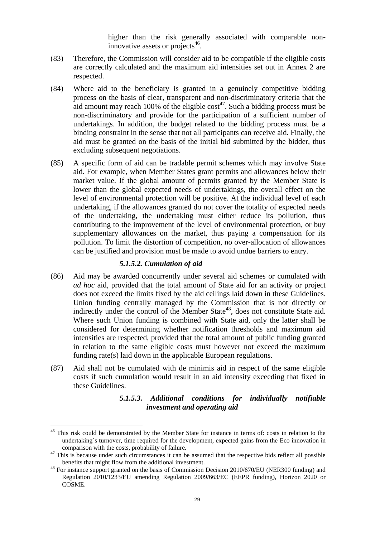higher than the risk generally associated with comparable noninnovative assets or projects $46$ .

- (83) Therefore, the Commission will consider aid to be compatible if the eligible costs are correctly calculated and the maximum aid intensities set out in Annex 2 are respected.
- (84) Where aid to the beneficiary is granted in a genuinely competitive bidding process on the basis of clear, transparent and non-discriminatory criteria that the aid amount may reach 100% of the eligible  $cost^{47}$ . Such a bidding process must be non-discriminatory and provide for the participation of a sufficient number of undertakings. In addition, the budget related to the bidding process must be a binding constraint in the sense that not all participants can receive aid. Finally, the aid must be granted on the basis of the initial bid submitted by the bidder, thus excluding subsequent negotiations.
- (85) A specific form of aid can be tradable permit schemes which may involve State aid. For example, when Member States grant permits and allowances below their market value. If the global amount of permits granted by the Member State is lower than the global expected needs of undertakings, the overall effect on the level of environmental protection will be positive. At the individual level of each undertaking, if the allowances granted do not cover the totality of expected needs of the undertaking, the undertaking must either reduce its pollution, thus contributing to the improvement of the level of environmental protection, or buy supplementary allowances on the market, thus paying a compensation for its pollution. To limit the distortion of competition, no over-allocation of allowances can be justified and provision must be made to avoid undue barriers to entry.

### *5.1.5.2. Cumulation of aid*

- (86) Aid may be awarded concurrently under several aid schemes or cumulated with *ad hoc* aid, provided that the total amount of State aid for an activity or project does not exceed the limits fixed by the aid ceilings laid down in these Guidelines. Union funding centrally managed by the Commission that is not directly or indirectly under the control of the Member State<sup>48</sup>, does not constitute State aid. Where such Union funding is combined with State aid, only the latter shall be considered for determining whether notification thresholds and maximum aid intensities are respected, provided that the total amount of public funding granted in relation to the same eligible costs must however not exceed the maximum funding rate(s) laid down in the applicable European regulations.
- (87) Aid shall not be cumulated with de minimis aid in respect of the same eligible costs if such cumulation would result in an aid intensity exceeding that fixed in these Guidelines.

### *5.1.5.3. Additional conditions for individually notifiable investment and operating aid*

<sup>&</sup>lt;sup>46</sup> This risk could be demonstrated by the Member State for instance in terms of: costs in relation to the undertaking´s turnover, time required for the development, expected gains from the Eco innovation in comparison with the costs, probability of failure.

 $47$  This is because under such circumstances it can be assumed that the respective bids reflect all possible benefits that might flow from the additional investment.

<sup>&</sup>lt;sup>48</sup> For instance support granted on the basis of Commission Decision 2010/670/EU (NER300 funding) and Regulation 2010/1233/EU amending Regulation 2009/663/EC (EEPR funding), Horizon 2020 or COSME.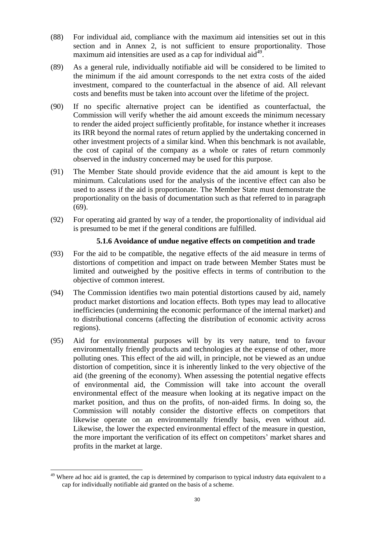- (88) For individual aid, compliance with the maximum aid intensities set out in this section and in Annex 2, is not sufficient to ensure proportionality. Those maximum aid intensities are used as a cap for individual aid<sup>49</sup>.
- (89) As a general rule, individually notifiable aid will be considered to be limited to the minimum if the aid amount corresponds to the net extra costs of the aided investment, compared to the counterfactual in the absence of aid. All relevant costs and benefits must be taken into account over the lifetime of the project.
- (90) If no specific alternative project can be identified as counterfactual, the Commission will verify whether the aid amount exceeds the minimum necessary to render the aided project sufficiently profitable, for instance whether it increases its IRR beyond the normal rates of return applied by the undertaking concerned in other investment projects of a similar kind. When this benchmark is not available, the cost of capital of the company as a whole or rates of return commonly observed in the industry concerned may be used for this purpose.
- (91) The Member State should provide evidence that the aid amount is kept to the minimum. Calculations used for the analysis of the incentive effect can also be used to assess if the aid is proportionate. The Member State must demonstrate the proportionality on the basis of documentation such as that referred to in paragraph [\(69\).](#page-24-0)
- (92) For operating aid granted by way of a tender, the proportionality of individual aid is presumed to be met if the general conditions are fulfilled.

### **5.1.6 Avoidance of undue negative effects on competition and trade**

- (93) For the aid to be compatible, the negative effects of the aid measure in terms of distortions of competition and impact on trade between Member States must be limited and outweighed by the positive effects in terms of contribution to the objective of common interest.
- (94) The Commission identifies two main potential distortions caused by aid, namely product market distortions and location effects. Both types may lead to allocative inefficiencies (undermining the economic performance of the internal market) and to distributional concerns (affecting the distribution of economic activity across regions).
- (95) Aid for environmental purposes will by its very nature, tend to favour environmentally friendly products and technologies at the expense of other, more polluting ones. This effect of the aid will, in principle, not be viewed as an undue distortion of competition, since it is inherently linked to the very objective of the aid (the greening of the economy). When assessing the potential negative effects of environmental aid, the Commission will take into account the overall environmental effect of the measure when looking at its negative impact on the market position, and thus on the profits, of non-aided firms. In doing so, the Commission will notably consider the distortive effects on competitors that likewise operate on an environmentally friendly basis, even without aid. Likewise, the lower the expected environmental effect of the measure in question, the more important the verification of its effect on competitors' market shares and profits in the market at large.

<sup>&</sup>lt;sup>49</sup> Where ad hoc aid is granted, the cap is determined by comparison to typical industry data equivalent to a cap for individually notifiable aid granted on the basis of a scheme.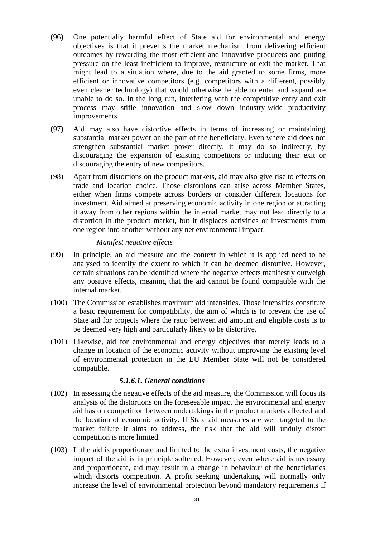- (96) One potentially harmful effect of State aid for environmental and energy objectives is that it prevents the market mechanism from delivering efficient outcomes by rewarding the most efficient and innovative producers and putting pressure on the least inefficient to improve, restructure or exit the market. That might lead to a situation where, due to the aid granted to some firms, more efficient or innovative competitors (e.g. competitors with a different, possibly even cleaner technology) that would otherwise be able to enter and expand are unable to do so. In the long run, interfering with the competitive entry and exit process may stifle innovation and slow down industry-wide productivity improvements.
- (97) Aid may also have distortive effects in terms of increasing or maintaining substantial market power on the part of the beneficiary. Even where aid does not strengthen substantial market power directly, it may do so indirectly, by discouraging the expansion of existing competitors or inducing their exit or discouraging the entry of new competitors.
- (98) Apart from distortions on the product markets, aid may also give rise to effects on trade and location choice. Those distortions can arise across Member States, either when firms compete across borders or consider different locations for investment. Aid aimed at preserving economic activity in one region or attracting it away from other regions within the internal market may not lead directly to a distortion in the product market, but it displaces activities or investments from one region into another without any net environmental impact.

#### *Manifest negative effects*

- (99) In principle, an aid measure and the context in which it is applied need to be analysed to identify the extent to which it can be deemed distortive. However, certain situations can be identified where the negative effects manifestly outweigh any positive effects, meaning that the aid cannot be found compatible with the internal market.
- (100) The Commission establishes maximum aid intensities. Those intensities constitute a basic requirement for compatibility, the aim of which is to prevent the use of State aid for projects where the ratio between aid amount and eligible costs is to be deemed very high and particularly likely to be distortive.
- (101) Likewise, aid for environmental and energy objectives that merely leads to a change in location of the economic activity without improving the existing level of environmental protection in the EU Member State will not be considered compatible.

#### *5.1.6.1. General conditions*

- (102) In assessing the negative effects of the aid measure, the Commission will focus its analysis of the distortions on the foreseeable impact the environmental and energy aid has on competition between undertakings in the product markets affected and the location of economic activity. If State aid measures are well targeted to the market failure it aims to address, the risk that the aid will unduly distort competition is more limited.
- (103) If the aid is proportionate and limited to the extra investment costs, the negative impact of the aid is in principle softened. However, even where aid is necessary and proportionate, aid may result in a change in behaviour of the beneficiaries which distorts competition. A profit seeking undertaking will normally only increase the level of environmental protection beyond mandatory requirements if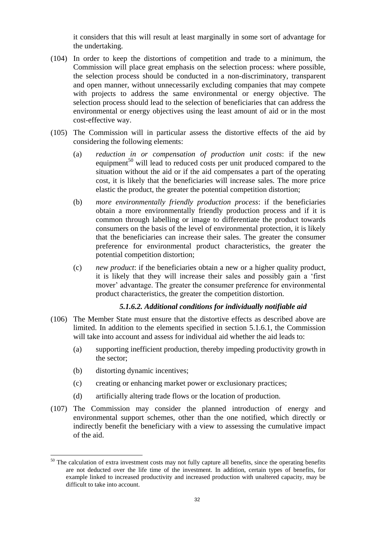it considers that this will result at least marginally in some sort of advantage for the undertaking.

- (104) In order to keep the distortions of competition and trade to a minimum, the Commission will place great emphasis on the selection process: where possible, the selection process should be conducted in a non-discriminatory, transparent and open manner, without unnecessarily excluding companies that may compete with projects to address the same environmental or energy objective. The selection process should lead to the selection of beneficiaries that can address the environmental or energy objectives using the least amount of aid or in the most cost-effective way.
- (105) The Commission will in particular assess the distortive effects of the aid by considering the following elements:
	- (a) *reduction in or compensation of production unit costs*: if the new equipment<sup>50</sup> will lead to reduced costs per unit produced compared to the situation without the aid or if the aid compensates a part of the operating cost, it is likely that the beneficiaries will increase sales. The more price elastic the product, the greater the potential competition distortion;
	- (b) *more environmentally friendly production process*: if the beneficiaries obtain a more environmentally friendly production process and if it is common through labelling or image to differentiate the product towards consumers on the basis of the level of environmental protection, it is likely that the beneficiaries can increase their sales. The greater the consumer preference for environmental product characteristics, the greater the potential competition distortion;
	- (c) *new product*: if the beneficiaries obtain a new or a higher quality product, it is likely that they will increase their sales and possibly gain a 'first mover' advantage. The greater the consumer preference for environmental product characteristics, the greater the competition distortion.

#### *5.1.6.2. Additional conditions for individually notifiable aid*

- (106) The Member State must ensure that the distortive effects as described above are limited. In addition to the elements specified in section 5.1.6.1, the Commission will take into account and assess for individual aid whether the aid leads to:
	- (a) supporting inefficient production, thereby impeding productivity growth in the sector;
	- (b) distorting dynamic incentives;

- (c) creating or enhancing market power or exclusionary practices;
- (d) artificially altering trade flows or the location of production.
- (107) The Commission may consider the planned introduction of energy and environmental support schemes, other than the one notified, which directly or indirectly benefit the beneficiary with a view to assessing the cumulative impact of the aid.

 $50$  The calculation of extra investment costs may not fully capture all benefits, since the operating benefits are not deducted over the life time of the investment. In addition, certain types of benefits, for example linked to increased productivity and increased production with unaltered capacity, may be difficult to take into account.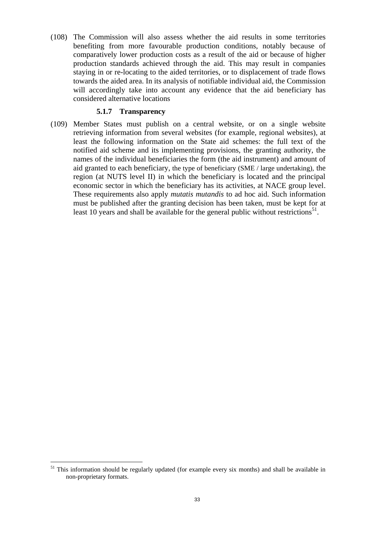(108) The Commission will also assess whether the aid results in some territories benefiting from more favourable production conditions, notably because of comparatively lower production costs as a result of the aid or because of higher production standards achieved through the aid. This may result in companies staying in or re-locating to the aided territories, or to displacement of trade flows towards the aided area. In its analysis of notifiable individual aid, the Commission will accordingly take into account any evidence that the aid beneficiary has considered alternative locations

#### **5.1.7 Transparency**

(109) Member States must publish on a central website, or on a single website retrieving information from several websites (for example, regional websites), at least the following information on the State aid schemes: the full text of the notified aid scheme and its implementing provisions, the granting authority, the names of the individual beneficiaries the form (the aid instrument) and amount of aid granted to each beneficiary, the type of beneficiary (SME / large undertaking), the region (at NUTS level II) in which the beneficiary is located and the principal economic sector in which the beneficiary has its activities, at NACE group level. These requirements also apply *mutatis mutandis* to ad hoc aid. Such information must be published after the granting decision has been taken, must be kept for at least 10 years and shall be available for the general public without restrictions<sup>51</sup>.

 $51$  This information should be regularly updated (for example every six months) and shall be available in non-proprietary formats.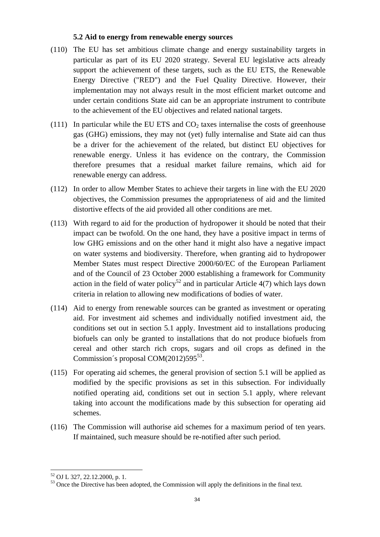#### **5.2 Aid to energy from renewable energy sources**

- (110) The EU has set ambitious climate change and energy sustainability targets in particular as part of its EU 2020 strategy. Several EU legislative acts already support the achievement of these targets, such as the EU ETS, the Renewable Energy Directive ("RED") and the Fuel Quality Directive. However, their implementation may not always result in the most efficient market outcome and under certain conditions State aid can be an appropriate instrument to contribute to the achievement of the EU objectives and related national targets.
- (111) In particular while the EU ETS and  $CO<sub>2</sub>$  taxes internalise the costs of greenhouse gas (GHG) emissions, they may not (yet) fully internalise and State aid can thus be a driver for the achievement of the related, but distinct EU objectives for renewable energy. Unless it has evidence on the contrary, the Commission therefore presumes that a residual market failure remains, which aid for renewable energy can address.
- (112) In order to allow Member States to achieve their targets in line with the EU 2020 objectives, the Commission presumes the appropriateness of aid and the limited distortive effects of the aid provided all other conditions are met.
- (113) With regard to aid for the production of hydropower it should be noted that their impact can be twofold. On the one hand, they have a positive impact in terms of low GHG emissions and on the other hand it might also have a negative impact on water systems and biodiversity. Therefore, when granting aid to hydropower Member States must respect Directive 2000/60/EC of the European Parliament and of the Council of 23 October 2000 establishing a framework for Community action in the field of water policy<sup>52</sup> and in particular Article 4(7) which lays down criteria in relation to allowing new modifications of bodies of water.
- (114) Aid to energy from renewable sources can be granted as investment or operating aid. For investment aid schemes and individually notified investment aid, the conditions set out in section 5.1 apply. Investment aid to installations producing biofuels can only be granted to installations that do not produce biofuels from cereal and other starch rich crops, sugars and oil crops as defined in the Commission´s proposal COM(2012)595<sup>53</sup>.
- (115) For operating aid schemes, the general provision of section 5.1 will be applied as modified by the specific provisions as set in this subsection. For individually notified operating aid, conditions set out in section 5.1 apply, where relevant taking into account the modifications made by this subsection for operating aid schemes.
- (116) The Commission will authorise aid schemes for a maximum period of ten years. If maintained, such measure should be re-notified after such period.

 $\overline{a}$ <sup>52</sup> OJ L 327, 22.12.2000, p. 1.

<sup>&</sup>lt;sup>53</sup> Once the Directive has been adopted, the Commission will apply the definitions in the final text.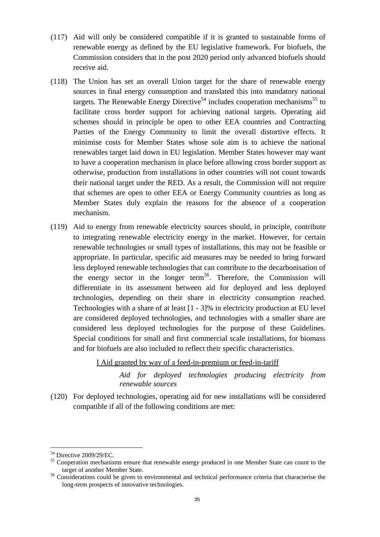- (117) Aid will only be considered compatible if it is granted to sustainable forms of renewable energy as defined by the EU legislative framework. For biofuels, the Commission considers that in the post 2020 period only advanced biofuels should receive aid.
- (118) The Union has set an overall Union target for the share of renewable energy sources in final energy consumption and translated this into mandatory national targets. The Renewable Energy Directive<sup>54</sup> includes cooperation mechanisms<sup>55</sup> to facilitate cross border support for achieving national targets. Operating aid schemes should in principle be open to other EEA countries and Contracting Parties of the Energy Community to limit the overall distortive effects. It minimise costs for Member States whose sole aim is to achieve the national renewables target laid down in EU legislation. Member States however may want to have a cooperation mechanism in place before allowing cross border support as otherwise, production from installations in other countries will not count towards their national target under the RED. As a result, the Commission will not require that schemes are open to other EEA or Energy Community countries as long as Member States duly explain the reasons for the absence of a cooperation mechanism.
- (119) Aid to energy from renewable electricity sources should, in principle, contribute to integrating renewable electricity energy in the market. However, for certain renewable technologies or small types of installations, this may not be feasible or appropriate. In particular, specific aid measures may be needed to bring forward less deployed renewable technologies that can contribute to the decarbonisation of the energy sector in the longer term<sup>56</sup>. Therefore, the Commission will differentiate in its assessment between aid for deployed and less deployed technologies, depending on their share in electricity consumption reached. Technologies with a share of at least [1 - 3]% in electricity production at EU level are considered deployed technologies, and technologies with a smaller share are considered less deployed technologies for the purpose of these Guidelines. Special conditions for small and first commercial scale installations, for biomass and for biofuels are also included to reflect their specific characteristics.

### I Aid granted by way of a feed-in-premium or feed-in-tariff

*Aid for deployed technologies producing electricity from renewable sources*

(120) For deployed technologies, operating aid for new installations will be considered compatible if all of the following conditions are met:

<sup>54</sup> Directive 2009/29/EC.

<sup>&</sup>lt;sup>55</sup> Cooperation mechanisms ensure that renewable energy produced in one Member State can count to the target of another Member State.

<sup>&</sup>lt;sup>56</sup> Considerations could be given to environmental and technical performance criteria that characterise the long-term prospects of innovative technologies.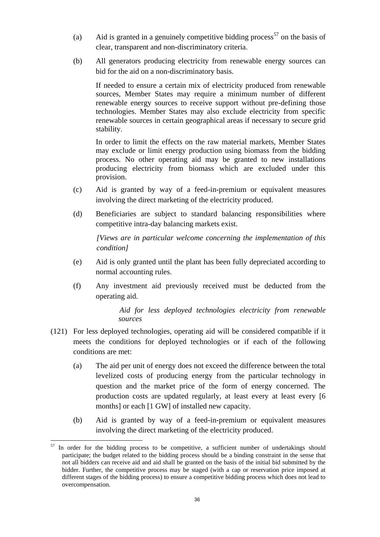- (a) Aid is granted in a genuinely competitive bidding process<sup>57</sup> on the basis of clear, transparent and non-discriminatory criteria.
- (b) All generators producing electricity from renewable energy sources can bid for the aid on a non-discriminatory basis.

If needed to ensure a certain mix of electricity produced from renewable sources, Member States may require a minimum number of different renewable energy sources to receive support without pre-defining those technologies. Member States may also exclude electricity from specific renewable sources in certain geographical areas if necessary to secure grid stability.

In order to limit the effects on the raw material markets, Member States may exclude or limit energy production using biomass from the bidding process. No other operating aid may be granted to new installations producing electricity from biomass which are excluded under this provision.

- (c) Aid is granted by way of a feed-in-premium or equivalent measures involving the direct marketing of the electricity produced.
- (d) Beneficiaries are subject to standard balancing responsibilities where competitive intra-day balancing markets exist.

*[Views are in particular welcome concerning the implementation of this condition]*

- (e) Aid is only granted until the plant has been fully depreciated according to normal accounting rules.
- (f) Any investment aid previously received must be deducted from the operating aid.

*Aid for less deployed technologies electricity from renewable sources*

- <span id="page-35-2"></span><span id="page-35-1"></span>(121) For less deployed technologies, operating aid will be considered compatible if it meets the conditions for deployed technologies or if each of the following conditions are met:
	- (a) The aid per unit of energy does not exceed the difference between the total levelized costs of producing energy from the particular technology in question and the market price of the form of energy concerned. The production costs are updated regularly, at least every at least every [6 months] or each [1 GW] of installed new capacity.
	- (b) Aid is granted by way of a feed-in-premium or equivalent measures involving the direct marketing of the electricity produced.

<span id="page-35-0"></span> $57$  In order for the bidding process to be competitive, a sufficient number of undertakings should participate; the budget related to the bidding process should be a binding constraint in the sense that not all bidders can receive aid and aid shall be granted on the basis of the initial bid submitted by the bidder. Further, the competitive process may be staged (with a cap or reservation price imposed at different stages of the bidding process) to ensure a competitive bidding process which does not lead to overcompensation.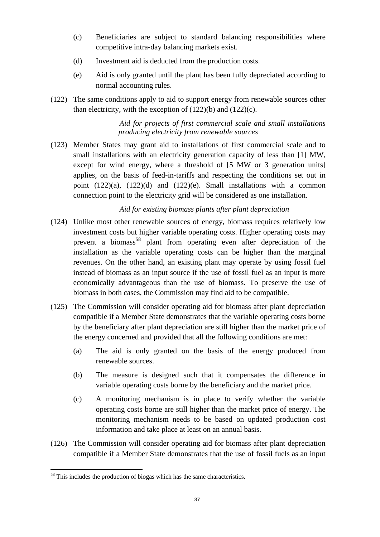- <span id="page-36-0"></span>(c) Beneficiaries are subject to standard balancing responsibilities where competitive intra-day balancing markets exist.
- <span id="page-36-1"></span>(d) Investment aid is deducted from the production costs.
- (e) Aid is only granted until the plant has been fully depreciated according to normal accounting rules.
- (122) The same conditions apply to aid to support energy from renewable sources other than electricity, with the exception of  $(122)(b)$  and  $(122)(c)$ .

# *Aid for projects of first commercial scale and small installations producing electricity from renewable sources*

(123) Member States may grant aid to installations of first commercial scale and to small installations with an electricity generation capacity of less than [1] MW, except for wind energy, where a threshold of [5 MW or 3 generation units] applies, on the basis of feed-in-tariffs and respecting the conditions set out in point  $(122)(a)$  $(122)(a)$ ,  $(122)(d)$  and  $(122)(e)$ . Small installations with a common connection point to the electricity grid will be considered as one installation.

# *Aid for existing biomass plants after plant depreciation*

- (124) Unlike most other renewable sources of energy, biomass requires relatively low investment costs but higher variable operating costs. Higher operating costs may prevent a biomass<sup>58</sup> plant from operating even after depreciation of the installation as the variable operating costs can be higher than the marginal revenues. On the other hand, an existing plant may operate by using fossil fuel instead of biomass as an input source if the use of fossil fuel as an input is more economically advantageous than the use of biomass. To preserve the use of biomass in both cases, the Commission may find aid to be compatible.
- (125) The Commission will consider operating aid for biomass after plant depreciation compatible if a Member State demonstrates that the variable operating costs borne by the beneficiary after plant depreciation are still higher than the market price of the energy concerned and provided that all the following conditions are met:
	- (a) The aid is only granted on the basis of the energy produced from renewable sources.
	- (b) The measure is designed such that it compensates the difference in variable operating costs borne by the beneficiary and the market price.
	- (c) A monitoring mechanism is in place to verify whether the variable operating costs borne are still higher than the market price of energy. The monitoring mechanism needs to be based on updated production cost information and take place at least on an annual basis.
- (126) The Commission will consider operating aid for biomass after plant depreciation compatible if a Member State demonstrates that the use of fossil fuels as an input

 $\overline{a}$  $58$  This includes the production of biogas which has the same characteristics.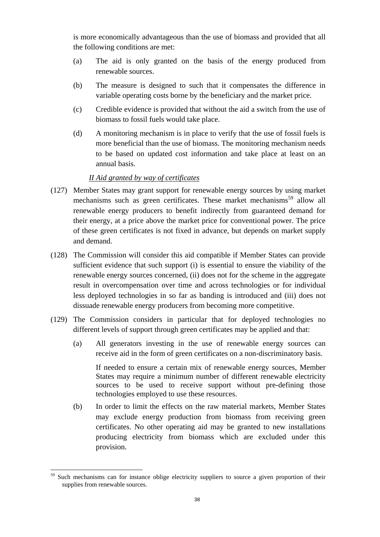is more economically advantageous than the use of biomass and provided that all the following conditions are met:

- (a) The aid is only granted on the basis of the energy produced from renewable sources.
- (b) The measure is designed to such that it compensates the difference in variable operating costs borne by the beneficiary and the market price.
- (c) Credible evidence is provided that without the aid a switch from the use of biomass to fossil fuels would take place.
- (d) A monitoring mechanism is in place to verify that the use of fossil fuels is more beneficial than the use of biomass. The monitoring mechanism needs to be based on updated cost information and take place at least on an annual basis.

### *II Aid granted by way of certificates*

- (127) Member States may grant support for renewable energy sources by using market mechanisms such as green certificates. These market mechanisms<sup>59</sup> allow all renewable energy producers to benefit indirectly from guaranteed demand for their energy, at a price above the market price for conventional power. The price of these green certificates is not fixed in advance, but depends on market supply and demand.
- (128) The Commission will consider this aid compatible if Member States can provide sufficient evidence that such support (i) is essential to ensure the viability of the renewable energy sources concerned, (ii) does not for the scheme in the aggregate result in overcompensation over time and across technologies or for individual less deployed technologies in so far as banding is introduced and (iii) does not dissuade renewable energy producers from becoming more competitive.
- (129) The Commission considers in particular that for deployed technologies no different levels of support through green certificates may be applied and that:
	- (a) All generators investing in the use of renewable energy sources can receive aid in the form of green certificates on a non-discriminatory basis.

If needed to ensure a certain mix of renewable energy sources, Member States may require a minimum number of different renewable electricity sources to be used to receive support without pre-defining those technologies employed to use these resources.

(b) In order to limit the effects on the raw material markets, Member States may exclude energy production from biomass from receiving green certificates. No other operating aid may be granted to new installations producing electricity from biomass which are excluded under this provision.

 $\overline{a}$ <sup>59</sup> Such mechanisms can for instance oblige electricity suppliers to source a given proportion of their supplies from renewable sources.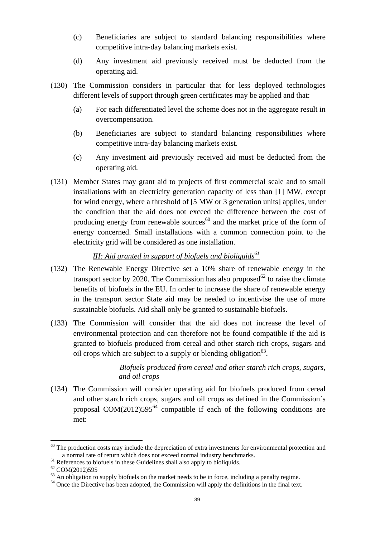- (c) Beneficiaries are subject to standard balancing responsibilities where competitive intra-day balancing markets exist.
- (d) Any investment aid previously received must be deducted from the operating aid.
- (130) The Commission considers in particular that for less deployed technologies different levels of support through green certificates may be applied and that:
	- (a) For each differentiated level the scheme does not in the aggregate result in overcompensation.
	- (b) Beneficiaries are subject to standard balancing responsibilities where competitive intra-day balancing markets exist.
	- (c) Any investment aid previously received aid must be deducted from the operating aid.
- (131) Member States may grant aid to projects of first commercial scale and to small installations with an electricity generation capacity of less than [1] MW, except for wind energy, where a threshold of [5 MW or 3 generation units] applies, under the condition that the aid does not exceed the difference between the cost of producing energy from renewable sources $^{60}$  and the market price of the form of energy concerned. Small installations with a common connection point to the electricity grid will be considered as one installation.

### *III: Aid granted in support of biofuels and bioliquids<sup>61</sup>*

- (132) The Renewable Energy Directive set a 10% share of renewable energy in the transport sector by 2020. The Commission has also proposed $62$  to raise the climate benefits of biofuels in the EU. In order to increase the share of renewable energy in the transport sector State aid may be needed to incentivise the use of more sustainable biofuels. Aid shall only be granted to sustainable biofuels.
- (133) The Commission will consider that the aid does not increase the level of environmental protection and can therefore not be found compatible if the aid is granted to biofuels produced from cereal and other starch rich crops, sugars and oil crops which are subject to a supply or blending obligation<sup>63</sup>.

# *Biofuels produced from cereal and other starch rich crops, sugars, and oil crops*

<span id="page-38-0"></span>(134) The Commission will consider operating aid for biofuels produced from cereal and other starch rich crops, sugars and oil crops as defined in the Commission´s proposal COM(2012)595<sup>64</sup> compatible if each of the following conditions are met:

 $60$  The production costs may include the depreciation of extra investments for environmental protection and a normal rate of return which does not exceed normal industry benchmarks.

 $61$  References to biofuels in these Guidelines shall also apply to bioliquids.

<sup>62</sup> COM(2012)595

 $63$  An obligation to supply biofuels on the market needs to be in force, including a penalty regime.

<sup>&</sup>lt;sup>64</sup> Once the Directive has been adopted, the Commission will apply the definitions in the final text.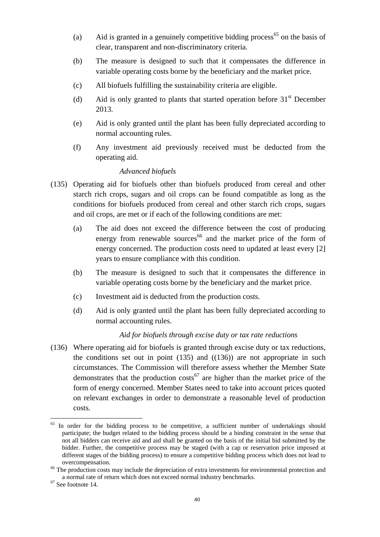- (a) Aid is granted in a genuinely competitive bidding process<sup>65</sup> on the basis of clear, transparent and non-discriminatory criteria.
- (b) The measure is designed to such that it compensates the difference in variable operating costs borne by the beneficiary and the market price.
- (c) All biofuels fulfilling the sustainability criteria are eligible.
- (d) Aid is only granted to plants that started operation before  $31<sup>st</sup>$  December 2013.
- (e) Aid is only granted until the plant has been fully depreciated according to normal accounting rules.
- (f) Any investment aid previously received must be deducted from the operating aid.

### *Advanced biofuels*

- <span id="page-39-1"></span><span id="page-39-0"></span>(135) Operating aid for biofuels other than biofuels produced from cereal and other starch rich crops, sugars and oil crops can be found compatible as long as the conditions for biofuels produced from cereal and other starch rich crops, sugars and oil crops, are met or if each of the following conditions are met:
	- (a) The aid does not exceed the difference between the cost of producing energy from renewable sources<sup>66</sup> and the market price of the form of energy concerned. The production costs need to updated at least every [2] years to ensure compliance with this condition.
	- (b) The measure is designed to such that it compensates the difference in variable operating costs borne by the beneficiary and the market price.
	- (c) Investment aid is deducted from the production costs.
	- (d) Aid is only granted until the plant has been fully depreciated according to normal accounting rules.

### *Aid for biofuels through excise duty or tax rate reductions*

(136) Where operating aid for biofuels is granted through excise duty or tax reductions, the conditions set out in point  $(135)$  and  $((136))$  are not appropriate in such circumstances. The Commission will therefore assess whether the Member State demonstrates that the production costs<sup>67</sup> are higher than the market price of the form of energy concerned. Member States need to take into account prices quoted on relevant exchanges in order to demonstrate a reasonable level of production costs.

<sup>&</sup>lt;sup>65</sup> In order for the bidding process to be competitive, a sufficient number of undertakings should participate; the budget related to the bidding process should be a binding constraint in the sense that not all bidders can receive aid and aid shall be granted on the basis of the initial bid submitted by the bidder. Further, the competitive process may be staged (with a cap or reservation price imposed at different stages of the bidding process) to ensure a competitive bidding process which does not lead to overcompensation.

<sup>&</sup>lt;sup>66</sup> The production costs may include the depreciation of extra investments for environmental protection and a normal rate of return which does not exceed normal industry benchmarks.

<sup>67</sup> See footnote 14.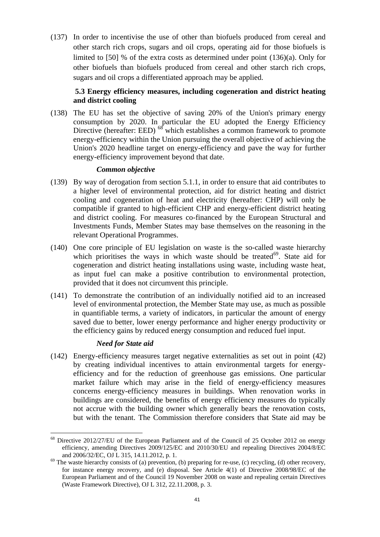(137) In order to incentivise the use of other than biofuels produced from cereal and other starch rich crops, sugars and oil crops, operating aid for those biofuels is limited to [50] % of the extra costs as determined under point [\(136\)\(a\).](#page-39-1) Only for other biofuels than biofuels produced from cereal and other starch rich crops, sugars and oil crops a differentiated approach may be applied.

### **5.3 Energy efficiency measures, including cogeneration and district heating and district cooling**

(138) The EU has set the objective of saving 20% of the Union's primary energy consumption by 2020. In particular the EU adopted the Energy Efficiency Directive (hereafter: EED)  $^{68}$  which establishes a common framework to promote energy-efficiency within the Union pursuing the overall objective of achieving the Union's 2020 headline target on energy-efficiency and pave the way for further energy-efficiency improvement beyond that date.

### *Common objective*

- (139) By way of derogation from section 5.1.1*,* in order to ensure that aid contributes to a higher level of environmental protection, aid for district heating and district cooling and cogeneration of heat and electricity (hereafter: CHP) will only be compatible if granted to high-efficient CHP and energy-efficient district heating and district cooling. For measures co-financed by the European Structural and Investments Funds, Member States may base themselves on the reasoning in the relevant Operational Programmes.
- (140) One core principle of EU legislation on waste is the so-called waste hierarchy which prioritises the ways in which waste should be treated<sup>69</sup>. State aid for cogeneration and district heating installations using waste, including waste heat, as input fuel can make a positive contribution to environmental protection, provided that it does not circumvent this principle.
- (141) To demonstrate the contribution of an individually notified aid to an increased level of environmental protection, the Member State may use, as much as possible in quantifiable terms, a variety of indicators, in particular the amount of energy saved due to better, lower energy performance and higher energy productivity or the efficiency gains by reduced energy consumption and reduced fuel input.

### *Need for State aid*

 $\overline{a}$ 

(142) Energy-efficiency measures target negative externalities as set out in point [\(42\)](#page-19-0) by creating individual incentives to attain environmental targets for energyefficiency and for the reduction of greenhouse gas emissions. One particular market failure which may arise in the field of energy-efficiency measures concerns energy-efficiency measures in buildings. When renovation works in buildings are considered, the benefits of energy efficiency measures do typically not accrue with the building owner which generally bears the renovation costs, but with the tenant. The Commission therefore considers that State aid may be

<sup>&</sup>lt;sup>68</sup> Directive 2012/27/EU of the European Parliament and of the Council of 25 October 2012 on energy efficiency, amending Directives 2009/125/EC and 2010/30/EU and repealing Directives 2004/8/EC and 2006/32/EC, OJ L 315, 14.11.2012, p. 1.

 $^{69}$  The waste hierarchy consists of (a) prevention, (b) preparing for re-use, (c) recycling, (d) other recovery, for instance energy recovery, and (e) disposal. See Article 4(1) of Directive 2008/98/EC of the European Parliament and of the Council 19 November 2008 on waste and repealing certain Directives (Waste Framework Directive), OJ L 312, 22.11.2008, p. 3.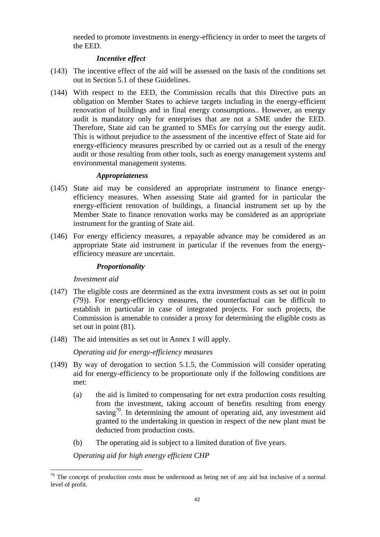needed to promote investments in energy-efficiency in order to meet the targets of the EED.

### *Incentive effect*

- (143) The incentive effect of the aid will be assessed on the basis of the conditions set out in Section 5.1 of these Guidelines.
- (144) With respect to the EED, the Commission recalls that this Directive puts an obligation on Member States to achieve targets including in the energy-efficient renovation of buildings and in final energy consumptions.. However, an energy audit is mandatory only for enterprises that are not a SME under the EED. Therefore, State aid can be granted to SMEs for carrying out the energy audit. This is without prejudice to the assessment of the incentive effect of State aid for energy-efficiency measures prescribed by or carried out as a result of the energy audit or those resulting from other tools, such as energy management systems and environmental management systems.

### *Appropriateness*

- (145) State aid may be considered an appropriate instrument to finance energyefficiency measures. When assessing State aid granted for in particular the energy-efficient renovation of buildings, a financial instrument set up by the Member State to finance renovation works may be considered as an appropriate instrument for the granting of State aid.
- (146) For energy efficiency measures, a repayable advance may be considered as an appropriate State aid instrument in particular if the revenues from the energyefficiency measure are uncertain.

#### *Proportionality*

### *Investment aid*

 $\overline{a}$ 

- (147) The eligible costs are determined as the extra investment costs as set out in point [\(79\)\)](#page-26-0). For energy-efficiency measures, the counterfactual can be difficult to establish in particular in case of integrated projects. For such projects, the Commission is amenable to consider a proxy for determining the eligible costs as set out in point [\(81\).](#page-26-1)
- (148) The aid intensities as set out in Annex 1 will apply.

*Operating aid for energy-efficiency measures*

- (149) By way of derogation to section 5.1.5, the Commission will consider operating aid for energy-efficiency to be proportionate only if the following conditions are met:
	- (a) the aid is limited to compensating for net extra production costs resulting from the investment, taking account of benefits resulting from energy saving<sup>70</sup>. In determining the amount of operating aid, any investment aid granted to the undertaking in question in respect of the new plant must be deducted from production costs.
	- (b) The operating aid is subject to a limited duration of five years.

*Operating aid for high energy efficient CHP*

 $70$  The concept of production costs must be understood as being net of any aid but inclusive of a normal level of profit.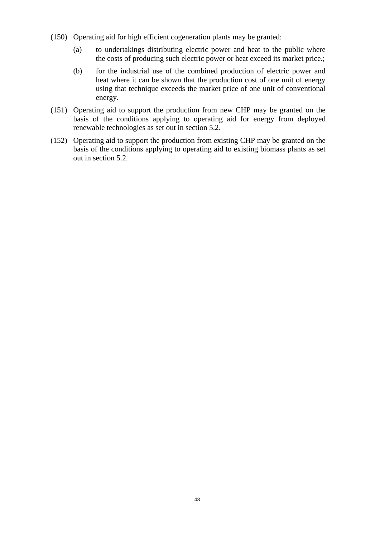- (150) Operating aid for high efficient cogeneration plants may be granted:
	- (a) to undertakings distributing electric power and heat to the public where the costs of producing such electric power or heat exceed its market price.;
	- (b) for the industrial use of the combined production of electric power and heat where it can be shown that the production cost of one unit of energy using that technique exceeds the market price of one unit of conventional energy.
- (151) Operating aid to support the production from new CHP may be granted on the basis of the conditions applying to operating aid for energy from deployed renewable technologies as set out in section 5.2.
- (152) Operating aid to support the production from existing CHP may be granted on the basis of the conditions applying to operating aid to existing biomass plants as set out in section 5.2.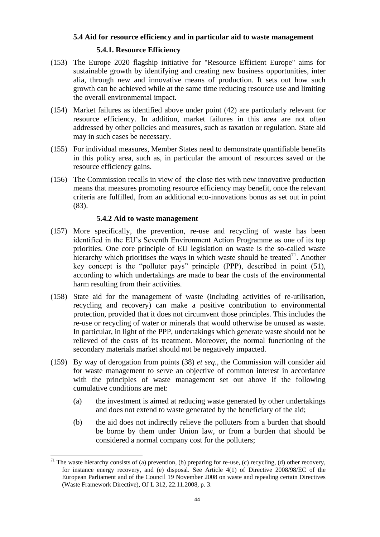#### **5.4 Aid for resource efficiency and in particular aid to waste management**

#### **5.4.1. Resource Efficiency**

- (153) The Europe 2020 flagship initiative for "Resource Efficient Europe" aims for sustainable growth by identifying and creating new business opportunities, inter alia, through new and innovative means of production. It sets out how such growth can be achieved while at the same time reducing resource use and limiting the overall environmental impact.
- (154) Market failures as identified above under point [\(42\)](#page-19-0) are particularly relevant for resource efficiency. In addition, market failures in this area are not often addressed by other policies and measures, such as taxation or regulation. State aid may in such cases be necessary.
- (155) For individual measures, Member States need to demonstrate quantifiable benefits in this policy area, such as, in particular the amount of resources saved or the resource efficiency gains.
- (156) The Commission recalls in view of the close ties with new innovative production means that measures promoting resource efficiency may benefit, once the relevant criteria are fulfilled, from an additional eco-innovations bonus as set out in point [\(83\).](#page-27-0)

#### **5.4.2 Aid to waste management**

- (157) More specifically, the prevention, re-use and recycling of waste has been identified in the EU's Seventh Environment Action Programme as one of its top priorities. One core principle of EU legislation on waste is the so-called waste hierarchy which prioritises the ways in which waste should be treated<sup>71</sup>. Another key concept is the "polluter pays" principle (PPP), described in point [\(51\),](#page-22-0) according to which undertakings are made to bear the costs of the environmental harm resulting from their activities.
- (158) State aid for the management of waste (including activities of re-utilisation, recycling and recovery) can make a positive contribution to environmental protection, provided that it does not circumvent those principles. This includes the re-use or recycling of water or minerals that would otherwise be unused as waste. In particular, in light of the PPP, undertakings which generate waste should not be relieved of the costs of its treatment. Moreover, the normal functioning of the secondary materials market should not be negatively impacted.
- <span id="page-43-0"></span>(159) By way of derogation from points [\(38\)](#page-18-0) *et seq.,* the Commission will consider aid for waste management to serve an objective of common interest in accordance with the principles of waste management set out above if the following cumulative conditions are met:
	- (a) the investment is aimed at reducing waste generated by other undertakings and does not extend to waste generated by the beneficiary of the aid;
	- (b) the aid does not indirectly relieve the polluters from a burden that should be borne by them under Union law, or from a burden that should be considered a normal company cost for the polluters;

<sup>&</sup>lt;sup>71</sup> The waste hierarchy consists of (a) prevention, (b) preparing for re-use, (c) recycling, (d) other recovery, for instance energy recovery, and (e) disposal. See Article 4(1) of Directive 2008/98/EC of the European Parliament and of the Council 19 November 2008 on waste and repealing certain Directives (Waste Framework Directive), OJ L 312, 22.11.2008, p. 3.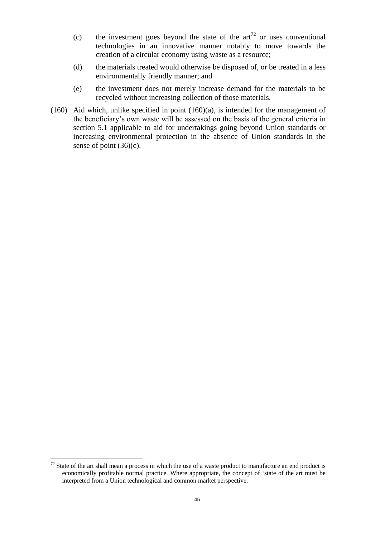- (c) the investment goes beyond the state of the  $art^{\frac{72}{}}$  or uses conventional technologies in an innovative manner notably to move towards the creation of a circular economy using waste as a resource;
- (d) the materials treated would otherwise be disposed of, or be treated in a less environmentally friendly manner; and
- (e) the investment does not merely increase demand for the materials to be recycled without increasing collection of those materials.
- (160) Aid which, unlike specified in point [\(160\)\(](#page-43-0)a), is intended for the management of the beneficiary's own waste will be assessed on the basis of the general criteria in section 5.1 applicable to aid for undertakings going beyond Union standards or increasing environmental protection in the absence of Union standards in the sense of point  $(36)(c)$ .

 $72$  State of the art shall mean a process in which the use of a waste product to manufacture an end product is economically profitable normal practice. Where appropriate, the concept of 'state of the art must be interpreted from a Union technological and common market perspective.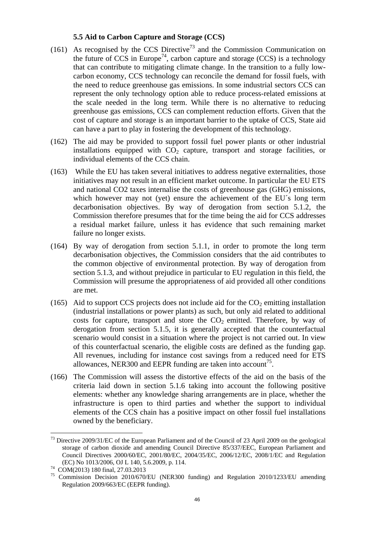### **5.5 Aid to Carbon Capture and Storage (CCS)**

- (161) As recognised by the CCS Directive<sup>73</sup> and the Commission Communication on the future of CCS in Europe<sup>74</sup>, carbon capture and storage (CCS) is a technology that can contribute to mitigating climate change. In the transition to a fully lowcarbon economy, CCS technology can reconcile the demand for fossil fuels, with the need to reduce greenhouse gas emissions. In some industrial sectors CCS can represent the only technology option able to reduce process-related emissions at the scale needed in the long term. While there is no alternative to reducing greenhouse gas emissions, CCS can complement reduction efforts. Given that the cost of capture and storage is an important barrier to the uptake of CCS, State aid can have a part to play in fostering the development of this technology.
- (162) The aid may be provided to support fossil fuel power plants or other industrial installations equipped with  $CO<sub>2</sub>$  capture, transport and storage facilities, or individual elements of the CCS chain.
- (163) While the EU has taken several initiatives to address negative externalities, those initiatives may not result in an efficient market outcome. In particular the EU ETS and national CO2 taxes internalise the costs of greenhouse gas (GHG) emissions, which however may not (yet) ensure the achievement of the EU´s long term decarbonisation objectives. By way of derogation from section 5.1.2, the Commission therefore presumes that for the time being the aid for CCS addresses a residual market failure, unless it has evidence that such remaining market failure no longer exists.
- (164) By way of derogation from section 5.1.1, in order to promote the long term decarbonisation objectives, the Commission considers that the aid contributes to the common objective of environmental protection. By way of derogation from section 5.1.3, and without prejudice in particular to EU regulation in this field, the Commission will presume the appropriateness of aid provided all other conditions are met.
- (165) Aid to support CCS projects does not include aid for the  $CO<sub>2</sub>$  emitting installation (industrial installations or power plants) as such, but only aid related to additional costs for capture, transport and store the  $CO<sub>2</sub>$  emitted. Therefore, by way of derogation from section 5.1.5, it is generally accepted that the counterfactual scenario would consist in a situation where the project is not carried out. In view of this counterfactual scenario, the eligible costs are defined as the funding gap. All revenues, including for instance cost savings from a reduced need for ETS allowances, NER300 and EEPR funding are taken into account<sup>75</sup>.
- (166) The Commission will assess the distortive effects of the aid on the basis of the criteria laid down in section 5.1.6 taking into account the following positive elements: whether any knowledge sharing arrangements are in place, whether the infrastructure is open to third parties and whether the support to individual elements of the CCS chain has a positive impact on other fossil fuel installations owned by the beneficiary.

<sup>&</sup>lt;sup>73</sup> Directive 2009/31/EC of the European Parliament and of the Council of 23 April 2009 on the geological storage of carbon dioxide and amending Council Directive 85/337/EEC, European Parliament and Council Directives 2000/60/EC, 2001/80/EC, 2004/35/EC, 2006/12/EC, 2008/1/EC and Regulation (EC) No 1013/2006, OJ L 140, 5.6.2009, p. 114.

<sup>74</sup>  $^{74}$  COM(2013) 180 final, 27.03.2013<br> $^{75}$  Commission Decision 2010/670

<sup>75</sup> Commission Decision 2010/670/EU (NER300 funding) and Regulation 2010/1233/EU amending Regulation 2009/663/EC (EEPR funding).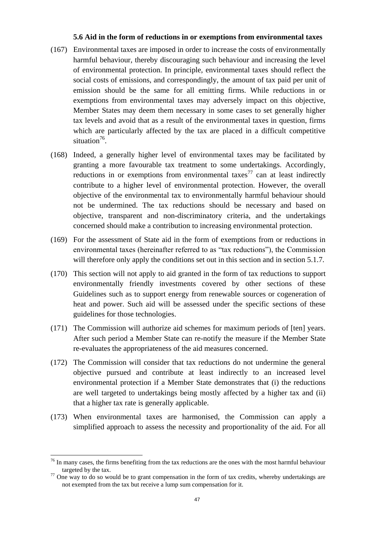#### **5.6 Aid in the form of reductions in or exemptions from environmental taxes**

- (167) Environmental taxes are imposed in order to increase the costs of environmentally harmful behaviour, thereby discouraging such behaviour and increasing the level of environmental protection. In principle, environmental taxes should reflect the social costs of emissions, and correspondingly, the amount of tax paid per unit of emission should be the same for all emitting firms. While reductions in or exemptions from environmental taxes may adversely impact on this objective, Member States may deem them necessary in some cases to set generally higher tax levels and avoid that as a result of the environmental taxes in question, firms which are particularly affected by the tax are placed in a difficult competitive situation $^{76}$ .
- (168) Indeed, a generally higher level of environmental taxes may be facilitated by granting a more favourable tax treatment to some undertakings. Accordingly, reductions in or exemptions from environmental taxes<sup>77</sup> can at least indirectly contribute to a higher level of environmental protection. However, the overall objective of the environmental tax to environmentally harmful behaviour should not be undermined. The tax reductions should be necessary and based on objective, transparent and non-discriminatory criteria, and the undertakings concerned should make a contribution to increasing environmental protection.
- (169) For the assessment of State aid in the form of exemptions from or reductions in environmental taxes (hereinafter referred to as "tax reductions"), the Commission will therefore only apply the conditions set out in this section and in section 5.1.7.
- (170) This section will not apply to aid granted in the form of tax reductions to support environmentally friendly investments covered by other sections of these Guidelines such as to support energy from renewable sources or cogeneration of heat and power. Such aid will be assessed under the specific sections of these guidelines for those technologies.
- (171) The Commission will authorize aid schemes for maximum periods of [ten] years. After such period a Member State can re-notify the measure if the Member State re-evaluates the appropriateness of the aid measures concerned.
- (172) The Commission will consider that tax reductions do not undermine the general objective pursued and contribute at least indirectly to an increased level environmental protection if a Member State demonstrates that (i) the reductions are well targeted to undertakings being mostly affected by a higher tax and (ii) that a higher tax rate is generally applicable.
- (173) When environmental taxes are harmonised, the Commission can apply a simplified approach to assess the necessity and proportionality of the aid. For all

 $76$  In many cases, the firms benefiting from the tax reductions are the ones with the most harmful behaviour targeted by the tax.

 $77$  One way to do so would be to grant compensation in the form of tax credits, whereby undertakings are not exempted from the tax but receive a lump sum compensation for it.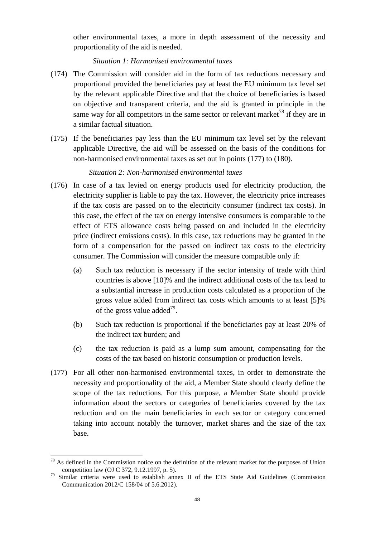other environmental taxes, a more in depth assessment of the necessity and proportionality of the aid is needed.

### *Situation 1: Harmonised environmental taxes*

- (174) The Commission will consider aid in the form of tax reductions necessary and proportional provided the beneficiaries pay at least the EU minimum tax level set by the relevant applicable Directive and that the choice of beneficiaries is based on objective and transparent criteria, and the aid is granted in principle in the same way for all competitors in the same sector or relevant market<sup>78</sup> if they are in a similar factual situation.
- (175) If the beneficiaries pay less than the EU minimum tax level set by the relevant applicable Directive, the aid will be assessed on the basis of the conditions for non-harmonised environmental taxes as set out in points [\(177\)](#page-47-0) to [\(180\).](#page-48-0)

# *Situation 2: Non-harmonised environmental taxes*

- <span id="page-47-0"></span>(176) In case of a tax levied on energy products used for electricity production, the electricity supplier is liable to pay the tax. However, the electricity price increases if the tax costs are passed on to the electricity consumer (indirect tax costs). In this case, the effect of the tax on energy intensive consumers is comparable to the effect of ETS allowance costs being passed on and included in the electricity price (indirect emissions costs). In this case, tax reductions may be granted in the form of a compensation for the passed on indirect tax costs to the electricity consumer. The Commission will consider the measure compatible only if:
	- (a) Such tax reduction is necessary if the sector intensity of trade with third countries is above [10]% and the indirect additional costs of the tax lead to a substantial increase in production costs calculated as a proportion of the gross value added from indirect tax costs which amounts to at least [5]% of the gross value added<sup>79</sup>.
	- (b) Such tax reduction is proportional if the beneficiaries pay at least 20% of the indirect tax burden; and
	- (c) the tax reduction is paid as a lump sum amount, compensating for the costs of the tax based on historic consumption or production levels.
- (177) For all other non-harmonised environmental taxes, in order to demonstrate the necessity and proportionality of the aid, a Member State should clearly define the scope of the tax reductions. For this purpose, a Member State should provide information about the sectors or categories of beneficiaries covered by the tax reduction and on the main beneficiaries in each sector or category concerned taking into account notably the turnover, market shares and the size of the tax base.

 $78$  As defined in the Commission notice on the definition of the relevant market for the purposes of Union competition law (OJ C 372, 9.12.1997, p. 5).

<sup>79</sup> Similar criteria were used to establish annex II of the ETS State Aid Guidelines (Commission Communication 2012/C 158/04 of 5.6.2012).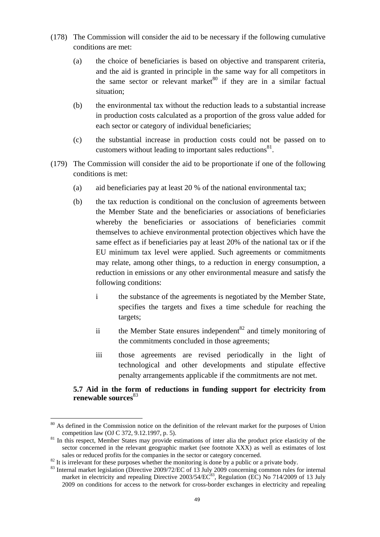- (178) The Commission will consider the aid to be necessary if the following cumulative conditions are met:
	- (a) the choice of beneficiaries is based on objective and transparent criteria, and the aid is granted in principle in the same way for all competitors in the same sector or relevant market $80$  if they are in a similar factual situation;
	- (b) the environmental tax without the reduction leads to a substantial increase in production costs calculated as a proportion of the gross value added for each sector or category of individual beneficiaries;
	- (c) the substantial increase in production costs could not be passed on to customers without leading to important sales reductions<sup>81</sup>.
- <span id="page-48-0"></span>(179) The Commission will consider the aid to be proportionate if one of the following conditions is met:
	- (a) aid beneficiaries pay at least 20 % of the national environmental tax;
	- (b) the tax reduction is conditional on the conclusion of agreements between the Member State and the beneficiaries or associations of beneficiaries whereby the beneficiaries or associations of beneficiaries commit themselves to achieve environmental protection objectives which have the same effect as if beneficiaries pay at least 20% of the national tax or if the EU minimum tax level were applied. Such agreements or commitments may relate, among other things, to a reduction in energy consumption, a reduction in emissions or any other environmental measure and satisfy the following conditions:
		- i the substance of the agreements is negotiated by the Member State, specifies the targets and fixes a time schedule for reaching the targets;
		- ii the Member State ensures independent<sup>82</sup> and timely monitoring of the commitments concluded in those agreements;
		- iii those agreements are revised periodically in the light of technological and other developments and stipulate effective penalty arrangements applicable if the commitments are not met.

### **5.7 Aid in the form of reductions in funding support for electricity from renewable sources**<sup>83</sup>

<sup>&</sup>lt;sup>80</sup> As defined in the Commission notice on the definition of the relevant market for the purposes of Union competition law (OJ C 372, 9.12.1997, p. 5).

<sup>&</sup>lt;sup>81</sup> In this respect, Member States may provide estimations of inter alia the product price elasticity of the sector concerned in the relevant geographic market (see footnote XXX) as well as estimates of lost sales or reduced profits for the companies in the sector or category concerned.

 $82$  It is irrelevant for these purposes whether the monitoring is done by a public or a private body.

<sup>&</sup>lt;sup>83</sup> Internal market legislation (Directive 2009/72/EC of 13 July 2009 concerning common rules for internal market in electricity and repealing Directive 2003/54/EC<sup>83</sup>, Regulation (EC) No 714/2009 of 13 July 2009 on conditions for access to the network for cross-border exchanges in electricity and repealing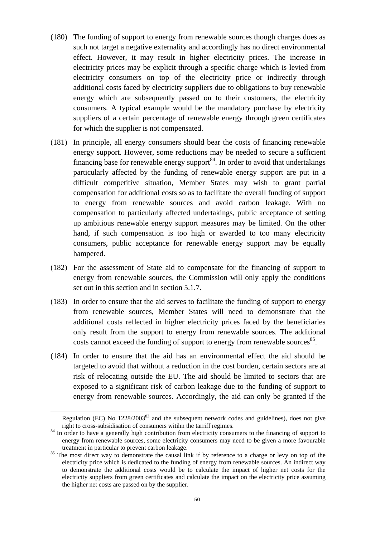- (180) The funding of support to energy from renewable sources though charges does as such not target a negative externality and accordingly has no direct environmental effect. However, it may result in higher electricity prices. The increase in electricity prices may be explicit through a specific charge which is levied from electricity consumers on top of the electricity price or indirectly through additional costs faced by electricity suppliers due to obligations to buy renewable energy which are subsequently passed on to their customers, the electricity consumers. A typical example would be the mandatory purchase by electricity suppliers of a certain percentage of renewable energy through green certificates for which the supplier is not compensated.
- (181) In principle, all energy consumers should bear the costs of financing renewable energy support. However, some reductions may be needed to secure a sufficient financing base for renewable energy support<sup>84</sup>. In order to avoid that undertakings particularly affected by the funding of renewable energy support are put in a difficult competitive situation, Member States may wish to grant partial compensation for additional costs so as to facilitate the overall funding of support to energy from renewable sources and avoid carbon leakage. With no compensation to particularly affected undertakings, public acceptance of setting up ambitious renewable energy support measures may be limited. On the other hand, if such compensation is too high or awarded to too many electricity consumers, public acceptance for renewable energy support may be equally hampered.
- (182) For the assessment of State aid to compensate for the financing of support to energy from renewable sources, the Commission will only apply the conditions set out in this section and in section 5.1.7.
- (183) In order to ensure that the aid serves to facilitate the funding of support to energy from renewable sources, Member States will need to demonstrate that the additional costs reflected in higher electricity prices faced by the beneficiaries only result from the support to energy from renewable sources. The additional costs cannot exceed the funding of support to energy from renewable sources<sup>85</sup>.
- (184) In order to ensure that the aid has an environmental effect the aid should be targeted to avoid that without a reduction in the cost burden, certain sectors are at risk of relocating outside the EU. The aid should be limited to sectors that are exposed to a significant risk of carbon leakage due to the funding of support to energy from renewable sources. Accordingly, the aid can only be granted if the

<u>.</u>

Regulation (EC) No 1228/2003<sup>83</sup> and the subsequent network codes and guidelines), does not give right to cross-subsidisation of consumers witihn the tarriff regimes.

<sup>&</sup>lt;sup>84</sup> In order to have a generally high contribution from electricity consumers to the financing of support to energy from renewable sources, some electricity consumers may need to be given a more favourable treatment in particular to prevent carbon leakage.

<sup>&</sup>lt;sup>85</sup> The most direct way to demonstrate the causal link if by reference to a charge or levy on top of the electricity price which is dedicated to the funding of energy from renewable sources. An indirect way to demonstrate the additional costs would be to calculate the impact of higher net costs for the electricity suppliers from green certificates and calculate the impact on the electricity price assuming the higher net costs are passed on by the supplier.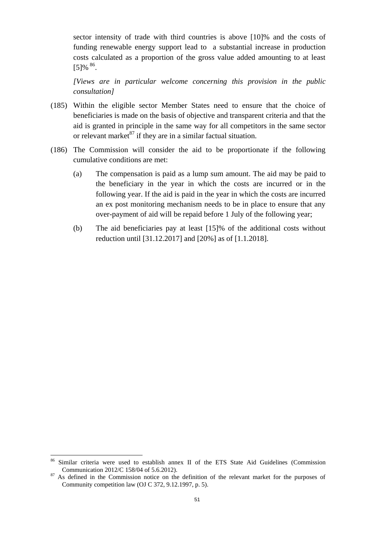sector intensity of trade with third countries is above [10]% and the costs of funding renewable energy support lead to a substantial increase in production costs calculated as a proportion of the gross value added amounting to at least  $[5] \%$   $86$ .

*[Views are in particular welcome concerning this provision in the public consultation]*

- (185) Within the eligible sector Member States need to ensure that the choice of beneficiaries is made on the basis of objective and transparent criteria and that the aid is granted in principle in the same way for all competitors in the same sector or relevant market $^{87}$  if they are in a similar factual situation.
- (186) The Commission will consider the aid to be proportionate if the following cumulative conditions are met:
	- (a) The compensation is paid as a lump sum amount. The aid may be paid to the beneficiary in the year in which the costs are incurred or in the following year. If the aid is paid in the year in which the costs are incurred an ex post monitoring mechanism needs to be in place to ensure that any over-payment of aid will be repaid before 1 July of the following year;
	- (b) The aid beneficiaries pay at least [15]% of the additional costs without reduction until [31.12.2017] and [20%] as of [1.1.2018].

<sup>&</sup>lt;sup>86</sup> Similar criteria were used to establish annex II of the ETS State Aid Guidelines (Commission Communication 2012/C 158/04 of 5.6.2012).

<sup>&</sup>lt;sup>87</sup> As defined in the Commission notice on the definition of the relevant market for the purposes of Community competition law (OJ C 372, 9.12.1997, p. 5).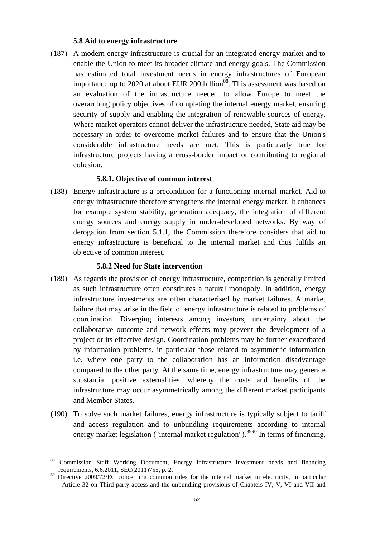#### **5.8 Aid to energy infrastructure**

(187) A modern energy infrastructure is crucial for an integrated energy market and to enable the Union to meet its broader climate and energy goals. The Commission has estimated total investment needs in energy infrastructures of European importance up to 2020 at about EUR 200 billion<sup>88</sup>. This assessment was based on an evaluation of the infrastructure needed to allow Europe to meet the overarching policy objectives of completing the internal energy market, ensuring security of supply and enabling the integration of renewable sources of energy. Where market operators cannot deliver the infrastructure needed, State aid may be necessary in order to overcome market failures and to ensure that the Union's considerable infrastructure needs are met. This is particularly true for infrastructure projects having a cross-border impact or contributing to regional cohesion.

### **5.8.1. Objective of common interest**

(188) Energy infrastructure is a precondition for a functioning internal market. Aid to energy infrastructure therefore strengthens the internal energy market. It enhances for example system stability, generation adequacy, the integration of different energy sources and energy supply in under-developed networks. By way of derogation from section 5.1.1, the Commission therefore considers that aid to energy infrastructure is beneficial to the internal market and thus fulfils an objective of common interest.

#### **5.8.2 Need for State intervention**

- (189) As regards the provision of energy infrastructure, competition is generally limited as such infrastructure often constitutes a natural monopoly. In addition, energy infrastructure investments are often characterised by market failures. A market failure that may arise in the field of energy infrastructure is related to problems of coordination. Diverging interests among investors, uncertainty about the collaborative outcome and network effects may prevent the development of a project or its effective design. Coordination problems may be further exacerbated by information problems, in particular those related to asymmetric information i.e. where one party to the collaboration has an information disadvantage compared to the other party. At the same time, energy infrastructure may generate substantial positive externalities, whereby the costs and benefits of the infrastructure may occur asymmetrically among the different market participants and Member States.
- (190) To solve such market failures, energy infrastructure is typically subject to tariff and access regulation and to unbundling requirements according to internal energy market legislation ("internal market regulation").<sup>8990</sup> In terms of financing,

<sup>88</sup> Commission Staff Working Document, Energy infrastructure investment needs and financing requirements, 6.6.2011, SEC(2011)755, p. 2.

<sup>&</sup>lt;sup>89</sup> Directive 2009/72/EC concerning common rules for the internal market in electricity, in particular Article 32 on Third-party access and the unbundling provisions of Chapters IV, V, VI and VII and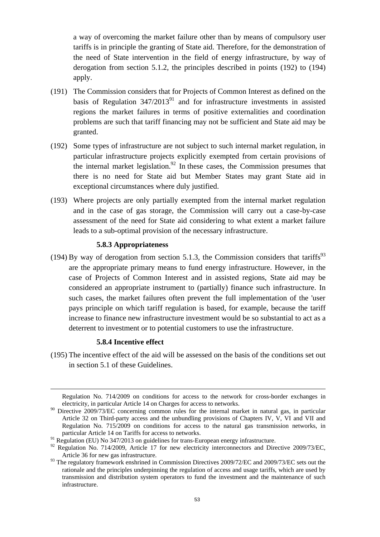a way of overcoming the market failure other than by means of compulsory user tariffs is in principle the granting of State aid. Therefore, for the demonstration of the need of State intervention in the field of energy infrastructure, by way of derogation from section 5.1.2, the principles described in points [\(192\)](#page-52-0) to [\(194\)](#page-52-1) apply.

- <span id="page-52-0"></span>(191) The Commission considers that for Projects of Common Interest as defined on the basis of Regulation  $347/2013^{91}$  and for infrastructure investments in assisted regions the market failures in terms of positive externalities and coordination problems are such that tariff financing may not be sufficient and State aid may be granted.
- (192) Some types of infrastructure are not subject to such internal market regulation, in particular infrastructure projects explicitly exempted from certain provisions of the internal market legislation.<sup>92</sup> In these cases, the Commission presumes that there is no need for State aid but Member States may grant State aid in exceptional circumstances where duly justified.
- <span id="page-52-1"></span>(193) Where projects are only partially exempted from the internal market regulation and in the case of gas storage, the Commission will carry out a case-by-case assessment of the need for State aid considering to what extent a market failure leads to a sub-optimal provision of the necessary infrastructure.

#### **5.8.3 Appropriateness**

(194) By way of derogation from section 5.1.3, the Commission considers that tariffs<sup>93</sup> are the appropriate primary means to fund energy infrastructure. However, in the case of Projects of Common Interest and in assisted regions, State aid may be considered an appropriate instrument to (partially) finance such infrastructure. In such cases, the market failures often prevent the full implementation of the 'user pays principle on which tariff regulation is based, for example, because the tariff increase to finance new infrastructure investment would be so substantial to act as a deterrent to investment or to potential customers to use the infrastructure.

#### **5.8.4 Incentive effect**

<u>.</u>

(195) The incentive effect of the aid will be assessed on the basis of the conditions set out in section 5.1 of these Guidelines.

Regulation No. 714/2009 on conditions for access to the network for cross-border exchanges in electricity, in particular Article 14 on Charges for access to networks.

<sup>&</sup>lt;sup>90</sup> Directive 2009/73/EC concerning common rules for the internal market in natural gas, in particular Article 32 on Third-party access and the unbundling provisions of Chapters IV, V, VI and VII and Regulation No. 715/2009 on conditions for access to the natural gas transmission networks, in particular Article 14 on Tariffs for access to networks.

<sup>&</sup>lt;sup>91</sup> Regulation (EU) No 347/2013 on guidelines for trans-European energy infrastructure.

<sup>&</sup>lt;sup>92</sup> Regulation No. 714/2009, Article 17 for new electricity interconnectors and Directive 2009/73/EC, Article 36 for new gas infrastructure.

<sup>&</sup>lt;sup>93</sup> The regulatory framework enshrined in Commission Directives 2009/72/EC and 2009/73/EC sets out the rationale and the principles underpinning the regulation of access and usage tariffs, which are used by transmission and distribution system operators to fund the investment and the maintenance of such infrastructure.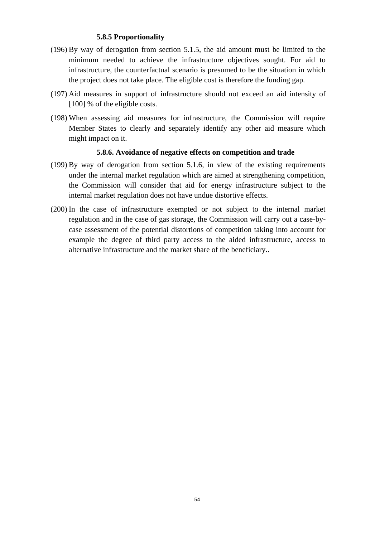### **5.8.5 Proportionality**

- (196) By way of derogation from section 5.1.5, the aid amount must be limited to the minimum needed to achieve the infrastructure objectives sought. For aid to infrastructure, the counterfactual scenario is presumed to be the situation in which the project does not take place. The eligible cost is therefore the funding gap.
- (197) Aid measures in support of infrastructure should not exceed an aid intensity of [100] % of the eligible costs.
- (198) When assessing aid measures for infrastructure, the Commission will require Member States to clearly and separately identify any other aid measure which might impact on it.

#### **5.8.6. Avoidance of negative effects on competition and trade**

- (199) By way of derogation from section 5.1.6, in view of the existing requirements under the internal market regulation which are aimed at strengthening competition, the Commission will consider that aid for energy infrastructure subject to the internal market regulation does not have undue distortive effects.
- (200) In the case of infrastructure exempted or not subject to the internal market regulation and in the case of gas storage, the Commission will carry out a case-bycase assessment of the potential distortions of competition taking into account for example the degree of third party access to the aided infrastructure, access to alternative infrastructure and the market share of the beneficiary..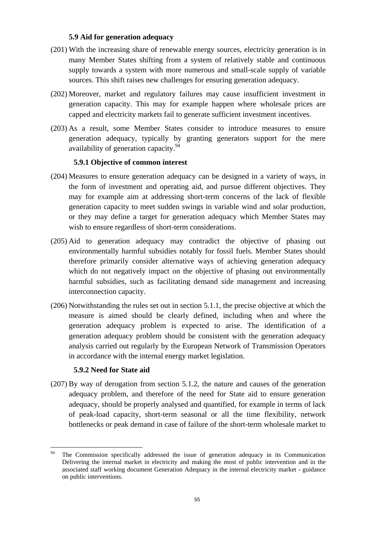### **5.9 Aid for generation adequacy**

- (201) With the increasing share of renewable energy sources, electricity generation is in many Member States shifting from a system of relatively stable and continuous supply towards a system with more numerous and small-scale supply of variable sources. This shift raises new challenges for ensuring generation adequacy.
- (202) Moreover, market and regulatory failures may cause insufficient investment in generation capacity. This may for example happen where wholesale prices are capped and electricity markets fail to generate sufficient investment incentives.
- (203) As a result, some Member States consider to introduce measures to ensure generation adequacy, typically by granting generators support for the mere availability of generation capacity.<sup>94</sup>

### **5.9.1 Objective of common interest**

- (204) Measures to ensure generation adequacy can be designed in a variety of ways, in the form of investment and operating aid, and pursue different objectives. They may for example aim at addressing short-term concerns of the lack of flexible generation capacity to meet sudden swings in variable wind and solar production, or they may define a target for generation adequacy which Member States may wish to ensure regardless of short-term considerations.
- (205) Aid to generation adequacy may contradict the objective of phasing out environmentally harmful subsidies notably for fossil fuels. Member States should therefore primarily consider alternative ways of achieving generation adequacy which do not negatively impact on the objective of phasing out environmentally harmful subsidies, such as facilitating demand side management and increasing interconnection capacity.
- (206) Notwithstanding the rules set out in section 5.1.1, the precise objective at which the measure is aimed should be clearly defined, including when and where the generation adequacy problem is expected to arise. The identification of a generation adequacy problem should be consistent with the generation adequacy analysis carried out regularly by the European Network of Transmission Operators in accordance with the internal energy market legislation.

### **5.9.2 Need for State aid**

(207) By way of derogation from section 5.1.2, the nature and causes of the generation adequacy problem, and therefore of the need for State aid to ensure generation adequacy, should be properly analysed and quantified, for example in terms of lack of peak-load capacity, short-term seasonal or all the time flexibility, network bottlenecks or peak demand in case of failure of the short-term wholesale market to

<sup>94</sup> <sup>94</sup> The Commission specifically addressed the issue of generation adequacy in its Communication Delivering the internal market in electricity and making the most of public intervention and in the associated staff working document Generation Adequacy in the internal electricity market - guidance on public interventions.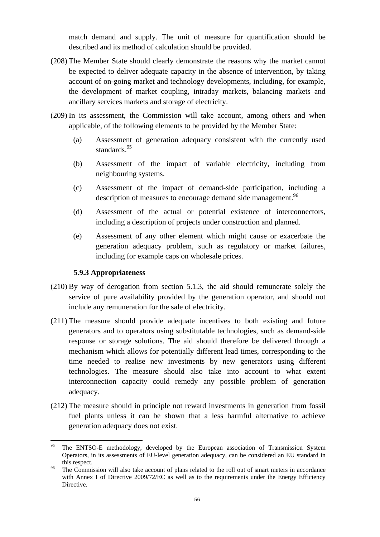match demand and supply. The unit of measure for quantification should be described and its method of calculation should be provided.

- (208) The Member State should clearly demonstrate the reasons why the market cannot be expected to deliver adequate capacity in the absence of intervention, by taking account of on-going market and technology developments, including, for example, the development of market coupling, intraday markets, balancing markets and ancillary services markets and storage of electricity.
- (209) In its assessment, the Commission will take account, among others and when applicable, of the following elements to be provided by the Member State:
	- (a) Assessment of generation adequacy consistent with the currently used standards.<sup>95</sup>
	- (b) Assessment of the impact of variable electricity, including from neighbouring systems.
	- (c) Assessment of the impact of demand-side participation, including a description of measures to encourage demand side management.<sup>96</sup>
	- (d) Assessment of the actual or potential existence of interconnectors, including a description of projects under construction and planned.
	- (e) Assessment of any other element which might cause or exacerbate the generation adequacy problem, such as regulatory or market failures, including for example caps on wholesale prices.

### **5.9.3 Appropriateness**

- (210) By way of derogation from section 5.1.3, the aid should remunerate solely the service of pure availability provided by the generation operator, and should not include any remuneration for the sale of electricity.
- (211) The measure should provide adequate incentives to both existing and future generators and to operators using substitutable technologies, such as demand-side response or storage solutions. The aid should therefore be delivered through a mechanism which allows for potentially different lead times, corresponding to the time needed to realise new investments by new generators using different technologies. The measure should also take into account to what extent interconnection capacity could remedy any possible problem of generation adequacy.
- (212) The measure should in principle not reward investments in generation from fossil fuel plants unless it can be shown that a less harmful alternative to achieve generation adequacy does not exist.

<sup>95</sup> The ENTSO-E methodology, developed by the European association of Transmission System Operators, in its assessments of EU-level generation adequacy, can be considered an EU standard in this respect.

The Commission will also take account of plans related to the roll out of smart meters in accordance with Annex I of Directive 2009/72/EC as well as to the requirements under the Energy Efficiency Directive.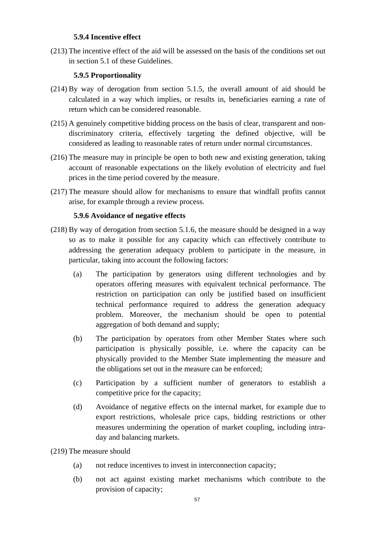## **5.9.4 Incentive effect**

(213) The incentive effect of the aid will be assessed on the basis of the conditions set out in section 5.1 of these Guidelines.

# **5.9.5 Proportionality**

- (214) By way of derogation from section 5.1.5, the overall amount of aid should be calculated in a way which implies, or results in, beneficiaries earning a rate of return which can be considered reasonable.
- (215) A genuinely competitive bidding process on the basis of clear, transparent and nondiscriminatory criteria, effectively targeting the defined objective, will be considered as leading to reasonable rates of return under normal circumstances.
- (216) The measure may in principle be open to both new and existing generation, taking account of reasonable expectations on the likely evolution of electricity and fuel prices in the time period covered by the measure.
- (217) The measure should allow for mechanisms to ensure that windfall profits cannot arise, for example through a review process.

# **5.9.6 Avoidance of negative effects**

- (218) By way of derogation from section 5.1.6, the measure should be designed in a way so as to make it possible for any capacity which can effectively contribute to addressing the generation adequacy problem to participate in the measure, in particular, taking into account the following factors:
	- (a) The participation by generators using different technologies and by operators offering measures with equivalent technical performance. The restriction on participation can only be justified based on insufficient technical performance required to address the generation adequacy problem. Moreover, the mechanism should be open to potential aggregation of both demand and supply;
	- (b) The participation by operators from other Member States where such participation is physically possible, i.e. where the capacity can be physically provided to the Member State implementing the measure and the obligations set out in the measure can be enforced;
	- (c) Participation by a sufficient number of generators to establish a competitive price for the capacity;
	- (d) Avoidance of negative effects on the internal market, for example due to export restrictions, wholesale price caps, bidding restrictions or other measures undermining the operation of market coupling, including intraday and balancing markets.
- (219) The measure should
	- (a) not reduce incentives to invest in interconnection capacity;
	- (b) not act against existing market mechanisms which contribute to the provision of capacity;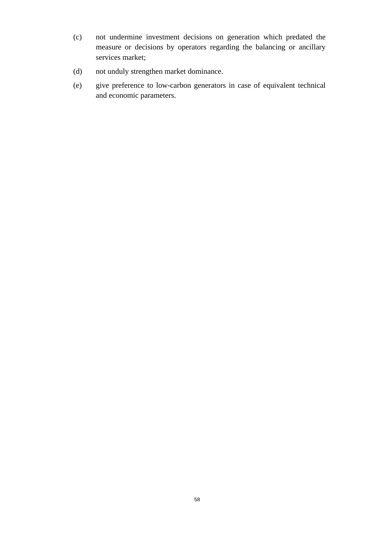- (c) not undermine investment decisions on generation which predated the measure or decisions by operators regarding the balancing or ancillary services market;
- (d) not unduly strengthen market dominance.
- (e) give preference to low-carbon generators in case of equivalent technical and economic parameters.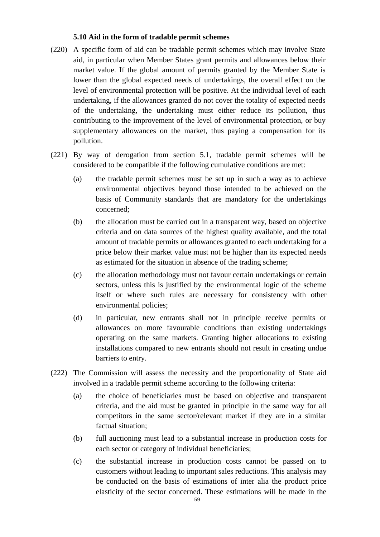### **5.10 Aid in the form of tradable permit schemes**

- (220) A specific form of aid can be tradable permit schemes which may involve State aid, in particular when Member States grant permits and allowances below their market value. If the global amount of permits granted by the Member State is lower than the global expected needs of undertakings, the overall effect on the level of environmental protection will be positive. At the individual level of each undertaking, if the allowances granted do not cover the totality of expected needs of the undertaking, the undertaking must either reduce its pollution, thus contributing to the improvement of the level of environmental protection, or buy supplementary allowances on the market, thus paying a compensation for its pollution.
- (221) By way of derogation from section 5.1, tradable permit schemes will be considered to be compatible if the following cumulative conditions are met:
	- (a) the tradable permit schemes must be set up in such a way as to achieve environmental objectives beyond those intended to be achieved on the basis of Community standards that are mandatory for the undertakings concerned;
	- (b) the allocation must be carried out in a transparent way, based on objective criteria and on data sources of the highest quality available, and the total amount of tradable permits or allowances granted to each undertaking for a price below their market value must not be higher than its expected needs as estimated for the situation in absence of the trading scheme;
	- (c) the allocation methodology must not favour certain undertakings or certain sectors, unless this is justified by the environmental logic of the scheme itself or where such rules are necessary for consistency with other environmental policies;
	- (d) in particular, new entrants shall not in principle receive permits or allowances on more favourable conditions than existing undertakings operating on the same markets. Granting higher allocations to existing installations compared to new entrants should not result in creating undue barriers to entry.
- (222) The Commission will assess the necessity and the proportionality of State aid involved in a tradable permit scheme according to the following criteria:
	- (a) the choice of beneficiaries must be based on objective and transparent criteria, and the aid must be granted in principle in the same way for all competitors in the same sector/relevant market if they are in a similar factual situation;
	- (b) full auctioning must lead to a substantial increase in production costs for each sector or category of individual beneficiaries;
	- (c) the substantial increase in production costs cannot be passed on to customers without leading to important sales reductions. This analysis may be conducted on the basis of estimations of inter alia the product price elasticity of the sector concerned. These estimations will be made in the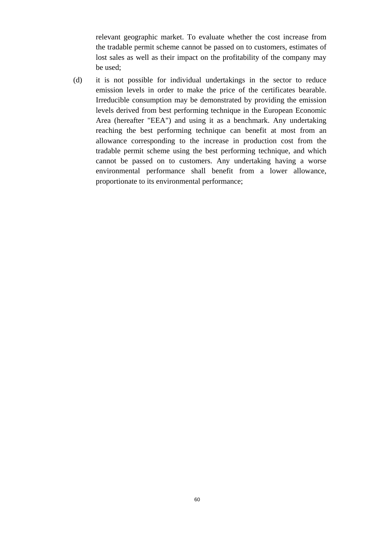relevant geographic market. To evaluate whether the cost increase from the tradable permit scheme cannot be passed on to customers, estimates of lost sales as well as their impact on the profitability of the company may be used;

(d) it is not possible for individual undertakings in the sector to reduce emission levels in order to make the price of the certificates bearable. Irreducible consumption may be demonstrated by providing the emission levels derived from best performing technique in the European Economic Area (hereafter "EEA") and using it as a benchmark. Any undertaking reaching the best performing technique can benefit at most from an allowance corresponding to the increase in production cost from the tradable permit scheme using the best performing technique, and which cannot be passed on to customers. Any undertaking having a worse environmental performance shall benefit from a lower allowance, proportionate to its environmental performance;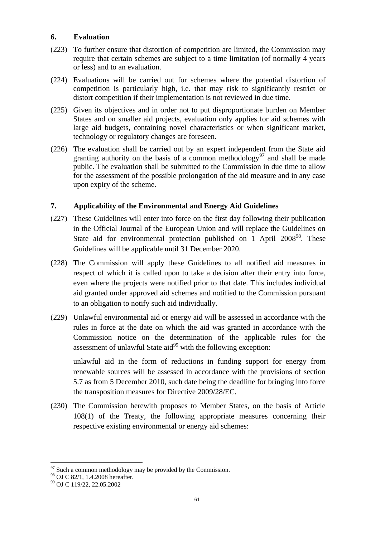### **6. Evaluation**

- (223) To further ensure that distortion of competition are limited, the Commission may require that certain schemes are subject to a time limitation (of normally 4 years or less) and to an evaluation.
- (224) Evaluations will be carried out for schemes where the potential distortion of competition is particularly high, i.e. that may risk to significantly restrict or distort competition if their implementation is not reviewed in due time.
- (225) Given its objectives and in order not to put disproportionate burden on Member States and on smaller aid projects, evaluation only applies for aid schemes with large aid budgets, containing novel characteristics or when significant market, technology or regulatory changes are foreseen.
- (226) The evaluation shall be carried out by an expert independent from the State aid granting authority on the basis of a common methodology<sup>97</sup> and shall be made public. The evaluation shall be submitted to the Commission in due time to allow for the assessment of the possible prolongation of the aid measure and in any case upon expiry of the scheme.

### **7. Applicability of the Environmental and Energy Aid Guidelines**

- (227) These Guidelines will enter into force on the first day following their publication in the Official Journal of the European Union and will replace the Guidelines on State aid for environmental protection published on 1 April 2008<sup>98</sup>. These Guidelines will be applicable until 31 December 2020.
- (228) The Commission will apply these Guidelines to all notified aid measures in respect of which it is called upon to take a decision after their entry into force, even where the projects were notified prior to that date. This includes individual aid granted under approved aid schemes and notified to the Commission pursuant to an obligation to notify such aid individually.
- (229) Unlawful environmental aid or energy aid will be assessed in accordance with the rules in force at the date on which the aid was granted in accordance with the Commission notice on the determination of the applicable rules for the assessment of unlawful State aid $99$  with the following exception:

unlawful aid in the form of reductions in funding support for energy from renewable sources will be assessed in accordance with the provisions of section 5.7 as from 5 December 2010, such date being the deadline for bringing into force the transposition measures for Directive 2009/28/EC.

(230) The Commission herewith proposes to Member States, on the basis of Article 108(1) of the Treaty, the following appropriate measures concerning their respective existing environmental or energy aid schemes:

 $97$  Such a common methodology may be provided by the Commission.

<sup>98</sup> OJ C 82/1, 1.4.2008 hereafter.

<sup>99</sup> OJ C 119/22, 22.05.2002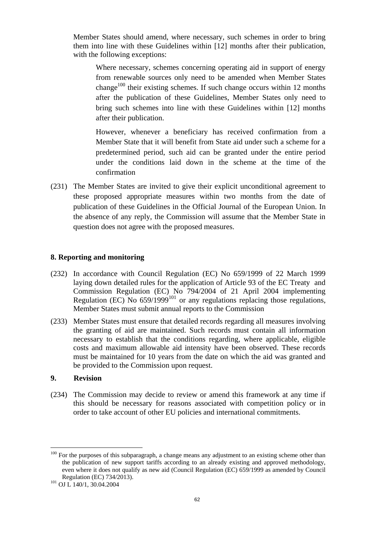Member States should amend, where necessary, such schemes in order to bring them into line with these Guidelines within [12] months after their publication, with the following exceptions:

Where necessary, schemes concerning operating aid in support of energy from renewable sources only need to be amended when Member States change<sup>100</sup> their existing schemes. If such change occurs within 12 months after the publication of these Guidelines, Member States only need to bring such schemes into line with these Guidelines within [12] months after their publication.

However, whenever a beneficiary has received confirmation from a Member State that it will benefit from State aid under such a scheme for a predetermined period, such aid can be granted under the entire period under the conditions laid down in the scheme at the time of the confirmation

(231) The Member States are invited to give their explicit unconditional agreement to these proposed appropriate measures within two months from the date of publication of these Guidelines in the Official Journal of the European Union. In the absence of any reply, the Commission will assume that the Member State in question does not agree with the proposed measures.

### **8. Reporting and monitoring**

- (232) In accordance with Council Regulation (EC) No 659/1999 of 22 March 1999 laying down detailed rules for the application of Article 93 of the EC Treaty and Commission Regulation (EC) No 794/2004 of 21 April 2004 implementing Regulation (EC) No  $659/1999^{101}$  or any regulations replacing those regulations, Member States must submit annual reports to the Commission
- (233) Member States must ensure that detailed records regarding all measures involving the granting of aid are maintained. Such records must contain all information necessary to establish that the conditions regarding, where applicable, eligible costs and maximum allowable aid intensity have been observed. These records must be maintained for 10 years from the date on which the aid was granted and be provided to the Commission upon request.

### **9. Revision**

 $\overline{a}$ 

(234) The Commission may decide to review or amend this framework at any time if this should be necessary for reasons associated with competition policy or in order to take account of other EU policies and international commitments.

<sup>&</sup>lt;sup>100</sup> For the purposes of this subparagraph, a change means any adjustment to an existing scheme other than the publication of new support tariffs according to an already existing and approved methodology, even where it does not qualify as new aid (Council Regulation (EC) 659/1999 as amended by Council Regulation (EC) 734/2013).

<sup>&</sup>lt;sup>101</sup> OJ L 140/1, 30.04.2004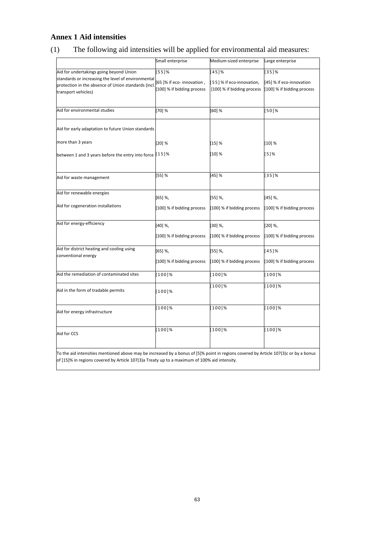# **Annex 1 Aid intensities**

# (1) The following aid intensities will be applied for environmental aid measures:

|                                                                                                                                      | Small enterprise           | Medium-sized enterprise    | Large enterprise           |
|--------------------------------------------------------------------------------------------------------------------------------------|----------------------------|----------------------------|----------------------------|
| Aid for undertakings going beyond Union                                                                                              | [55]%                      | 1451%                      | [35]%                      |
| standards or increasing the level of environmental                                                                                   |                            |                            |                            |
| protection in the absence of Union standards (incl.                                                                                  | [65]% if eco- innovation,  | [55] % if eco-innovation,  | [45] % if eco-innovation   |
| transport vehicles)                                                                                                                  | [100] % if bidding process | [100] % if bidding process | 100] % if bidding process  |
|                                                                                                                                      |                            |                            |                            |
| Aid for environmental studies                                                                                                        | [70] %                     | $[60]$ %                   | [50]%                      |
| Aid for early adaptation to future Union standards                                                                                   |                            |                            |                            |
| more than 3 years                                                                                                                    | [20] %                     | [15] %                     | [10] %                     |
| between 1 and 3 years before the entry into force                                                                                    | [15]%                      | [10] %                     | [5]%                       |
|                                                                                                                                      |                            |                            |                            |
|                                                                                                                                      |                            |                            |                            |
| Aid for waste management                                                                                                             | [55] %                     | [45]%                      | $35$ ]%                    |
|                                                                                                                                      |                            |                            |                            |
| Aid for renewable energies                                                                                                           | [65] %,                    | $[55]$ %,                  | [45] %,                    |
| Aid for cogeneration installations                                                                                                   |                            |                            |                            |
|                                                                                                                                      | [100] % if bidding process | [100] % if bidding process | [100] % if bidding process |
| Aid for energy-efficiency                                                                                                            | $[40]$ %,                  | $[30]$ %,                  | [20] %,                    |
|                                                                                                                                      |                            |                            |                            |
|                                                                                                                                      | [100] % if bidding process | [100] % if bidding process | [100] % if bidding process |
| Aid for district heating and cooling using                                                                                           | $[65]$ %,                  | $[55]$ %,                  | [45]%                      |
| conventional energy                                                                                                                  |                            |                            |                            |
|                                                                                                                                      | [100] % if bidding process | [100] % if bidding process | [100] % if bidding process |
| Aid the remediation of contaminated sites                                                                                            | $[100]\%$                  | [100]%                     | $[100]\%$                  |
|                                                                                                                                      |                            | [100]%                     | [100]%                     |
| Aid in the form of tradable permits                                                                                                  | $[100]\%$                  |                            |                            |
|                                                                                                                                      |                            |                            |                            |
| Aid for energy infrastructure                                                                                                        | [100]%                     | [100]%                     | [100]%                     |
|                                                                                                                                      |                            |                            |                            |
|                                                                                                                                      | [100]%                     | [100]%                     | [100]%                     |
| Aid for CCS                                                                                                                          |                            |                            |                            |
|                                                                                                                                      |                            |                            |                            |
| To the aid intensities mentioned above may be increased by a bonus of [5]% point in regions covered by Article 107(3)c or by a bonus |                            |                            |                            |

of [15]% in regions covered by Article 107(3)a Treaty up to a maximum of 100% aid intensity.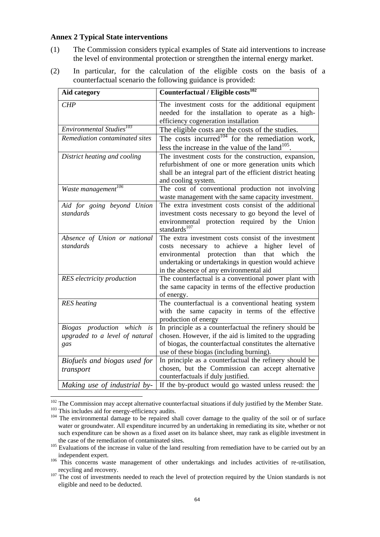### **Annex 2 Typical State interventions**

- (1) The Commission considers typical examples of State aid interventions to increase the level of environmental protection or strengthen the internal energy market.
- (2) In particular, for the calculation of the eligible costs on the basis of a counterfactual scenario the following guidance is provided:

| <b>Aid category</b>                                                    | Counterfactual / Eligible costs <sup>102</sup>                                                                                                                                                                                                                                |
|------------------------------------------------------------------------|-------------------------------------------------------------------------------------------------------------------------------------------------------------------------------------------------------------------------------------------------------------------------------|
| <b>CHP</b>                                                             | The investment costs for the additional equipment<br>needed for the installation to operate as a high-<br>efficiency cogeneration installation                                                                                                                                |
| Environmental Studies <sup>103</sup>                                   | The eligible costs are the costs of the studies.                                                                                                                                                                                                                              |
| Remediation contaminated sites                                         | The costs incurred <sup>104</sup> for the remediation work,<br>less the increase in the value of the land $^{105}$ .                                                                                                                                                          |
| District heating and cooling                                           | The investment costs for the construction, expansion,<br>refurbishment of one or more generation units which<br>shall be an integral part of the efficient district heating<br>and cooling system.                                                                            |
| Waste management <sup>106</sup>                                        | The cost of conventional production not involving<br>waste management with the same capacity investment.                                                                                                                                                                      |
| Aid for going beyond Union<br>standards                                | The extra investment costs consist of the additional<br>investment costs necessary to go beyond the level of<br>environmental protection required by the Union<br>standards <sup>107</sup>                                                                                    |
| Absence of Union or national<br>standards                              | The extra investment costs consist of the investment<br>achieve<br>higher level<br>costs necessary to<br>a<br>оf<br>environmental protection than<br>that<br>which<br>the<br>undertaking or undertakings in question would achieve<br>in the absence of any environmental aid |
| <b>RES</b> electricity production                                      | The counterfactual is a conventional power plant with<br>the same capacity in terms of the effective production<br>of energy.                                                                                                                                                 |
| <b>RES</b> heating                                                     | The counterfactual is a conventional heating system<br>with the same capacity in terms of the effective<br>production of energy                                                                                                                                               |
| Biogas production which<br>is<br>upgraded to a level of natural<br>gas | In principle as a counterfactual the refinery should be<br>chosen. However, if the aid is limited to the upgrading<br>of biogas, the counterfactual constitutes the alternative<br>use of these biogas (including burning).                                                   |
| Biofuels and biogas used for<br>transport                              | In principle as a counterfactual the refinery should be<br>chosen, but the Commission can accept alternative<br>counterfactuals if duly justified.                                                                                                                            |
| Making use of industrial by-                                           | If the by-product would go wasted unless reused: the                                                                                                                                                                                                                          |

 $102$  The Commission may accept alternative counterfactual situations if duly justified by the Member State.

<sup>&</sup>lt;sup>103</sup> This includes aid for energy-efficiency audits.

<sup>&</sup>lt;sup>104</sup> The environmental damage to be repaired shall cover damage to the quality of the soil or of surface water or groundwater. All expenditure incurred by an undertaking in remediating its site, whether or not such expenditure can be shown as a fixed asset on its balance sheet, may rank as eligible investment in the case of the remediation of contaminated sites.

<sup>&</sup>lt;sup>105</sup> Evaluations of the increase in value of the land resulting from remediation have to be carried out by an <sup>105</sup> independent expert.

<sup>&</sup>lt;sup>106</sup> This concerns waste management of other undertakings and includes activities of re-utilisation, recycling and recovery.

<sup>&</sup>lt;sup>107</sup> The cost of investments needed to reach the level of protection required by the Union standards is not eligible and need to be deducted.